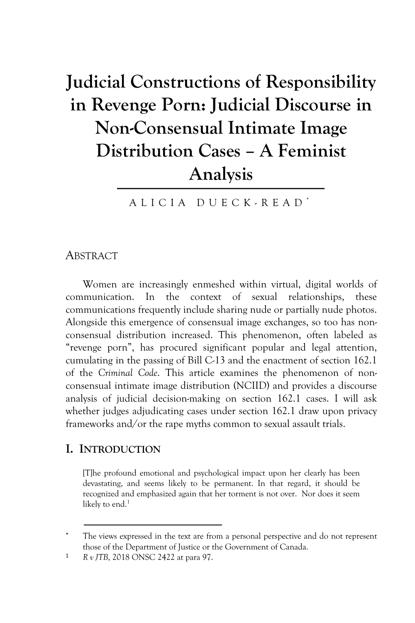# **Judicial Constructions of Responsibility in Revenge Porn: Judicial Discourse in Non-Consensual Intimate Image Distribution Cases – A Feminist Analysis**

ALICIA DUECK - READ \*

#### **ABSTRACT**

Women are increasingly enmeshed within virtual, digital worlds of communication. In the context of sexual relationships, these communications frequently include sharing nude or partially nude photos. Alongside this emergence of consensual image exchanges, so too has nonconsensual distribution increased. This phenomenon, often labeled as "revenge porn", has procured significant popular and legal attention, cumulating in the passing of Bill C-13 and the enactment of section 162.1 of the *Criminal Code*. This article examines the phenomenon of nonconsensual intimate image distribution (NCIID) and provides a discourse analysis of judicial decision-making on section 162.1 cases. I will ask whether judges adjudicating cases under section 162.1 draw upon privacy frameworks and/or the rape myths common to sexual assault trials.

#### **I. INTRODUCTION**

[T]he profound emotional and psychological impact upon her clearly has been devastating, and seems likely to be permanent. In that regard, it should be recognized and emphasized again that her torment is not over. Nor does it seem likely to end.<sup>1</sup>

The views expressed in the text are from a personal perspective and do not represent those of the Department of Justice or the Government of Canada.

<sup>1</sup> *R v JTB*, 2018 ONSC 2422 at para 97.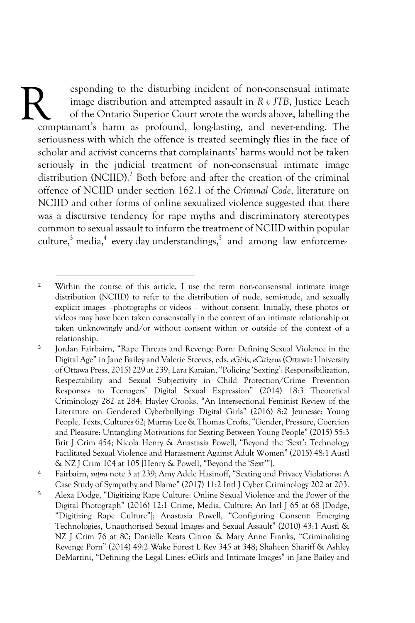esponding to the disturbing incident of non-consensual intimate image distribution and attempted assault in *R v JTB*, Justice Leach of the Ontario Superior Court wrote the words above, labelling the complainant's harm as profound, long-lasting, and never-ending. The seriousness with which the offence is treated seemingly flies in the face of scholar and activist concerns that complainants' harms would not be taken seriously in the judicial treatment of non-consensual intimate image distribution (NCIID).<sup>2</sup> Both before and after the creation of the criminal offence of NCIID under section 162.1 of the *Criminal Code*, literature on NCIID and other forms of online sexualized violence suggested that there was a discursive tendency for rape myths and discriminatory stereotypes common to sexual assault to inform the treatment of NCIID within popular culture,<sup>3</sup> media,<sup>4</sup> every day understandings,<sup>5</sup> and among law enforceme-R

<sup>4</sup> Fairbairn, *supra* note 3 at 239; Amy Adele Hasinoff, "Sexting and Privacy Violations: A Case Study of Sympathy and Blame" (2017) 11:2 Intl J Cyber Criminology 202 at 203.

<sup>&</sup>lt;sup>2</sup> Within the course of this article, I use the term non-consensual intimate image distribution (NCIID) to refer to the distribution of nude, semi-nude, and sexually explicit images –photographs or videos – without consent. Initially, these photos or videos may have been taken consensually in the context of an intimate relationship or taken unknowingly and/or without consent within or outside of the context of a relationship.

<sup>3</sup> Jordan Fairbairn, "Rape Threats and Revenge Porn: Defining Sexual Violence in the Digital Age" in Jane Bailey and Valerie Steeves, eds, *eGirls*, *eCitizens* (Ottawa: University of Ottawa Press, 2015) 229 at 239; Lara Karaian, "Policing 'Sexting': Responsibilization, Respectability and Sexual Subjectivity in Child Protection/Crime Prevention Responses to Teenagers' Digital Sexual Expression" (2014) 18:3 Theoretical Criminology 282 at 284; Hayley Crooks, "An Intersectional Feminist Review of the Literature on Gendered Cyberbullying: Digital Girls" (2016) 8:2 Jeunesse: Young People, Texts, Cultures 62; Murray Lee & Thomas Crofts, "Gender, Pressure, Coercion and Pleasure: Untangling Motivations for Sexting Between Young People" (2015) 55:3 Brit J Crim 454; Nicola Henry & Anastasia Powell, "Beyond the 'Sext': Technology Facilitated Sexual Violence and Harassment Against Adult Women" (2015) 48:1 Austl & NZ J Crim 104 at 105 [Henry & Powell, "Beyond the 'Sext'"].

<sup>5</sup> Alexa Dodge, "Digitizing Rape Culture: Online Sexual Violence and the Power of the Digital Photograph" (2016) 12:1 Crime, Media, Culture: An Intl J 65 at 68 [Dodge, "Digitizing Rape Culture"]; Anastasia Powell, "Configuring Consent: Emerging Technologies, Unauthorised Sexual Images and Sexual Assault" (2010) 43:1 Austl & NZ J Crim 76 at 80; Danielle Keats Citron & Mary Anne Franks, "Criminalizing Revenge Porn" (2014) 49:2 Wake Forest L Rev 345 at 348; Shaheen Shariff & Ashley DeMartini, "Defining the Legal Lines: eGirls and Intimate Images" in Jane Bailey and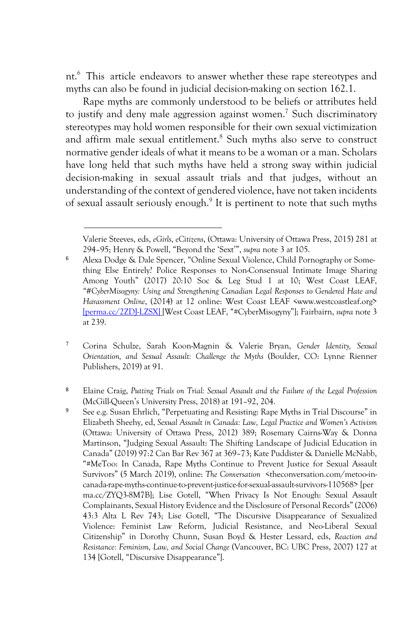nt.<sup>6</sup> This article endeavors to answer whether these rape stereotypes and myths can also be found in judicial decision-making on section 162.1.

Rape myths are commonly understood to be beliefs or attributes held to justify and deny male aggression against women.<sup>7</sup> Such discriminatory stereotypes may hold women responsible for their own sexual victimization and affirm male sexual entitlement.<sup>8</sup> Such myths also serve to construct normative gender ideals of what it means to be a woman or a man. Scholars have long held that such myths have held a strong sway within judicial decision-making in sexual assault trials and that judges, without an understanding of the context of gendered violence, have not taken incidents of sexual assault seriously enough.9 It is pertinent to note that such myths

Valerie Steeves, eds, *eGirls*, *eCitizens*, (Ottawa: University of Ottawa Press, 2015) 281 at 294–95; Henry & Powell, "Beyond the 'Sext'", *supra* note 3 at 105.

<sup>6</sup> Alexa Dodge & Dale Spencer, "Online Sexual Violence, Child Pornography or Something Else Entirely? Police Responses to Non-Consensual Intimate Image Sharing Among Youth" (2017) 20:10 Soc & Leg Stud 1 at 10; West Coast LEAF, *"#CyberMisogyny: Using and Strengthening Canadian Legal Responses to Gendered Hate and Harassment Online*, (2014) at 12 online: West Coast LEAF <www.westcoastleaf.org> [perma.cc/2ZDJ-LZSX] [West Coast LEAF, "#CyberMisogyny"]; Fairbairn, *supra* note 3 at 239.

<sup>7</sup> Corina Schulze, Sarah Koon-Magnin & Valerie Bryan, *Gender Identity, Sexual Orientation, and Sexual Assault: Challenge the Myths* (Boulder, CO: Lynne Rienner Publishers, 2019) at 91.

<sup>8</sup> Elaine Craig, *Putting Trials on Trial: Sexual Assault and the Failure of the Legal Profession* (McGill-Queen's University Press, 2018) at 191–92, 204.

<sup>9</sup> See e.g. Susan Ehrlich, "Perpetuating and Resisting: Rape Myths in Trial Discourse" in Elizabeth Sheehy, ed, *Sexual Assault in Canada: Law, Legal Practice and Women's Activism* (Ottawa: University of Ottawa Press, 2012) 389; Rosemary Cairns-Way & Donna Martinson, "Judging Sexual Assault: The Shifting Landscape of Judicial Education in Canada" (2019) 97:2 Can Bar Rev 367 at 369–73; Kate Puddister & Danielle McNabb, "#MeToo: In Canada, Rape Myths Continue to Prevent Justice for Sexual Assault Survivors" (5 March 2019), online: *The Conversation* <theconversation.com/metoo-incanada-rape-myths-continue-to-prevent-justice-for-sexual-assault-survivors-110568> [per ma.cc/ZYQ3-8M7B]; Lise Gotell, "When Privacy Is Not Enough: Sexual Assault Complainants, Sexual History Evidence and the Disclosure of Personal Records" (2006) 43:3 Alta L Rev 743; Lise Gotell, "The Discursive Disappearance of Sexualized Violence: Feminist Law Reform, Judicial Resistance, and Neo-Liberal Sexual Citizenship" in Dorothy Chunn, Susan Boyd & Hester Lessard, eds, *Reaction and Resistance: Feminism, Law, and Social Change* (Vancouver, BC: UBC Press, 2007) 127 at 134 [Gotell, "Discursive Disappearance"].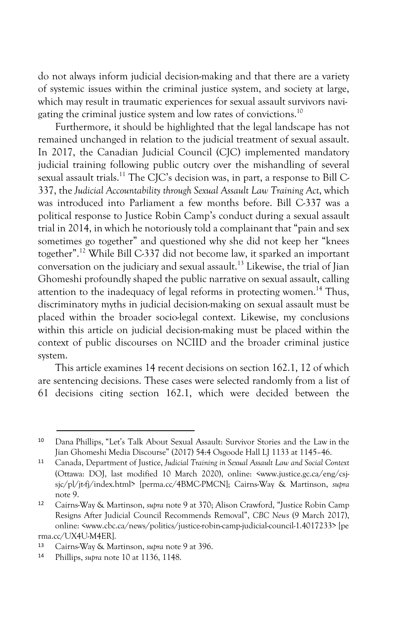do not always inform judicial decision-making and that there are a variety of systemic issues within the criminal justice system, and society at large, which may result in traumatic experiences for sexual assault survivors navigating the criminal justice system and low rates of convictions.10

Furthermore, it should be highlighted that the legal landscape has not remained unchanged in relation to the judicial treatment of sexual assault. In 2017, the Canadian Judicial Council (CJC) implemented mandatory judicial training following public outcry over the mishandling of several sexual assault trials.<sup>11</sup> The CJC's decision was, in part, a response to Bill C-337, the *Judicial Accountability through Sexual Assault Law Training Act*, which was introduced into Parliament a few months before. Bill C-337 was a political response to Justice Robin Camp's conduct during a sexual assault trial in 2014, in which he notoriously told a complainant that "pain and sex sometimes go together" and questioned why she did not keep her "knees together".12 While Bill C-337 did not become law, it sparked an important conversation on the judiciary and sexual assault.13 Likewise, the trial of Jian Ghomeshi profoundly shaped the public narrative on sexual assault, calling attention to the inadequacy of legal reforms in protecting women.<sup>14</sup> Thus, discriminatory myths in judicial decision-making on sexual assault must be placed within the broader socio-legal context. Likewise, my conclusions within this article on judicial decision-making must be placed within the context of public discourses on NCIID and the broader criminal justice system.

This article examines 14 recent decisions on section 162.1, 12 of which are sentencing decisions. These cases were selected randomly from a list of 61 decisions citing section 162.1, which were decided between the

 <sup>10</sup> Dana Phillips, "Let's Talk About Sexual Assault: Survivor Stories and the Law in the Jian Ghomeshi Media Discourse" (2017) 54:4 Osgoode Hall LJ 1133 at 1145–46.

<sup>11</sup> Canada, Department of Justice, *Judicial Training in Sexual Assault Law and Social Context*  (Ottawa: DOJ, last modified 10 March 2020), online: <www.justice.gc.ca/eng/csjsjc/pl/jt-fj/index.html> [perma.cc/4BMC-PMCN]; Cairns-Way & Martinson, *supra*  note 9.

<sup>12</sup> Cairns-Way & Martinson, *supra* note 9 at 370; Alison Crawford, "Justice Robin Camp Resigns After Judicial Council Recommends Removal", *CBC News* (9 March 2017), online: <www.cbc.ca/news/politics/justice-robin-camp-judicial-council-1.4017233> [pe rma.cc/UX4U-M4ER].

<sup>13</sup> Cairns-Way & Martinson, *supra* note 9 at 396.

<sup>14</sup> Phillips, *supra* note 10 at 1136, 1148.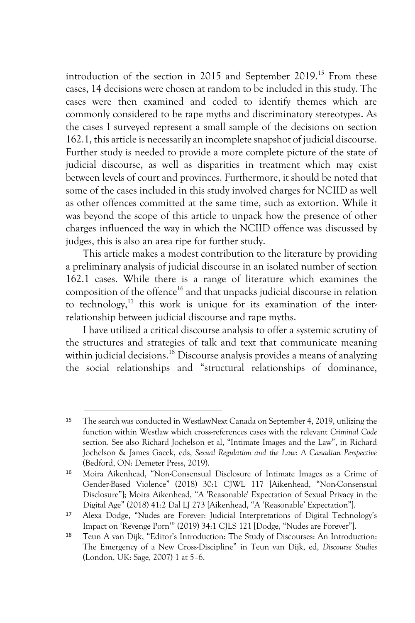introduction of the section in 2015 and September 2019.15 From these cases, 14 decisions were chosen at random to be included in this study. The cases were then examined and coded to identify themes which are commonly considered to be rape myths and discriminatory stereotypes. As the cases I surveyed represent a small sample of the decisions on section 162.1, this article is necessarily an incomplete snapshot of judicial discourse. Further study is needed to provide a more complete picture of the state of judicial discourse, as well as disparities in treatment which may exist between levels of court and provinces. Furthermore, it should be noted that some of the cases included in this study involved charges for NCIID as well as other offences committed at the same time, such as extortion. While it was beyond the scope of this article to unpack how the presence of other charges influenced the way in which the NCIID offence was discussed by judges, this is also an area ripe for further study.

This article makes a modest contribution to the literature by providing a preliminary analysis of judicial discourse in an isolated number of section 162.1 cases. While there is a range of literature which examines the composition of the offence16 and that unpacks judicial discourse in relation to technology,<sup>17</sup> this work is unique for its examination of the interrelationship between judicial discourse and rape myths.

I have utilized a critical discourse analysis to offer a systemic scrutiny of the structures and strategies of talk and text that communicate meaning within judicial decisions.<sup>18</sup> Discourse analysis provides a means of analyzing the social relationships and "structural relationships of dominance,

 <sup>15</sup> The search was conducted in WestlawNext Canada on September 4, 2019, utilizing the function within Westlaw which cross-references cases with the relevant *Criminal Code* section. See also Richard Jochelson et al, "Intimate Images and the Law", in Richard Jochelson & James Gacek, eds, *Sexual Regulation and the Law: A Canadian Perspective* (Bedford, ON: Demeter Press, 2019).

<sup>16</sup> Moira Aikenhead, "Non-Consensual Disclosure of Intimate Images as a Crime of Gender-Based Violence" (2018) 30:1 CJWL 117 [Aikenhead, "Non-Consensual Disclosure"]; Moira Aikenhead, "A 'Reasonable' Expectation of Sexual Privacy in the Digital Age" (2018) 41:2 Dal LJ 273 [Aikenhead, "A 'Reasonable' Expectation"].

<sup>17</sup> Alexa Dodge, "Nudes are Forever: Judicial Interpretations of Digital Technology's Impact on 'Revenge Porn'" (2019) 34:1 CJLS 121 [Dodge, "Nudes are Forever"].

<sup>18</sup> Teun A van Dijk, "Editor's Introduction: The Study of Discourses: An Introduction: The Emergency of a New Cross-Discipline" in Teun van Dijk, ed, *Discourse Studies* (London, UK: Sage, 2007) 1 at 5–6.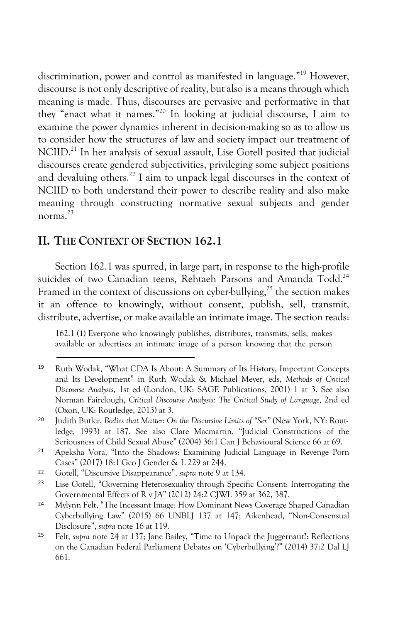discrimination, power and control as manifested in language."19 However, discourse is not only descriptive of reality, but also is a means through which meaning is made. Thus, discourses are pervasive and performative in that they "enact what it names."20 In looking at judicial discourse, I aim to examine the power dynamics inherent in decision-making so as to allow us to consider how the structures of law and society impact our treatment of NCIID.<sup>21</sup> In her analysis of sexual assault, Lise Gotell posited that judicial discourses create gendered subjectivities, privileging some subject positions and devaluing others.<sup>22</sup> I aim to unpack legal discourses in the context of NCIID to both understand their power to describe reality and also make meaning through constructing normative sexual subjects and gender norms<sup>23</sup>

#### **II. THE CONTEXT OF SECTION 162.1**

Section 162.1 was spurred, in large part, in response to the high-profile suicides of two Canadian teens. Rehtaeh Parsons and Amanda Todd.<sup>24</sup> Framed in the context of discussions on cyber-bullying, $^{25}$  the section makes it an offence to knowingly, without consent, publish, sell, transmit, distribute, advertise, or make available an intimate image. The section reads:

162.1 **(1)** Everyone who knowingly publishes, distributes, transmits, sells, makes available or advertises an intimate image of a person knowing that the person

 <sup>19</sup> Ruth Wodak, "What CDA Is About: A Summary of Its History, Important Concepts and Its Development" in Ruth Wodak & Michael Meyer, eds, *Methods of Critical Discourse Analysis*, 1st ed (London, UK: SAGE Publications, 2001) 1 at 3. See also Norman Fairclough, *Critical Discourse Analysis: The Critical Study of Language*, 2nd ed (Oxon, UK: Routledge, 2013) at 3.

<sup>20</sup> Judith Butler, *Bodies that Matter: On the Discursive Limits of "Sex"* (New York, NY: Routledge, 1993) at 187. See also Clare Macmartin, "Judicial Constructions of the Seriousness of Child Sexual Abuse" (2004) 36:1 Can J Behavioural Science 66 at 69.

<sup>21</sup> Apeksha Vora, "Into the Shadows: Examining Judicial Language in Revenge Porn Cases" (2017) 18:1 Geo J Gender & L 229 at 244.

<sup>22</sup> Gotell, "Discursive Disappearance", *supra* note 9 at 134.

<sup>23</sup> Lise Gotell, "Governing Heterosexuality through Specific Consent: Interrogating the Governmental Effects of R v JA" (2012) 24:2 CJWL 359 at 362, 387.

<sup>24</sup> Mylynn Felt, "The Incessant Image: How Dominant News Coverage Shaped Canadian Cyberbullying Law" (2015) 66 UNBLJ 137 at 147; Aikenhead, "Non-Consensual Disclosure", *supra* note 16 at 119.

<sup>25</sup> Felt, *supra* note 24 at 137; Jane Bailey, "Time to Unpack the Juggernaut?: Reflections on the Canadian Federal Parliament Debates on 'Cyberbullying'?" (2014) 37:2 Dal LJ 661.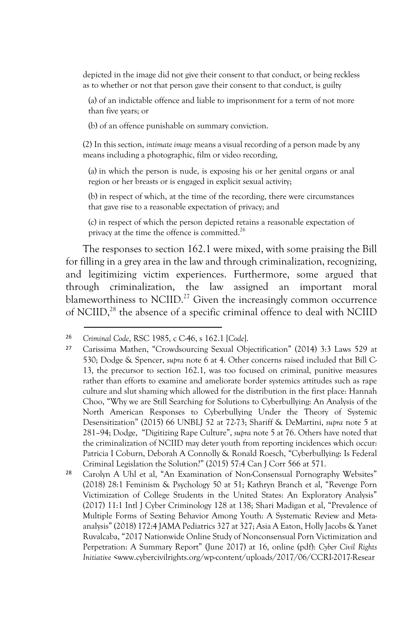depicted in the image did not give their consent to that conduct, or being reckless as to whether or not that person gave their consent to that conduct, is guilty

(a) of an indictable offence and liable to imprisonment for a term of not more than five years; or

(b) of an offence punishable on summary conviction.

(2) In this section, *intimate image* means a visual recording of a person made by any means including a photographic, film or video recording,

(a) in which the person is nude, is exposing his or her genital organs or anal region or her breasts or is engaged in explicit sexual activity;

(b) in respect of which, at the time of the recording, there were circumstances that gave rise to a reasonable expectation of privacy; and

(c) in respect of which the person depicted retains a reasonable expectation of privacy at the time the offence is committed.26

The responses to section 162.1 were mixed, with some praising the Bill for filling in a grey area in the law and through criminalization, recognizing, and legitimizing victim experiences. Furthermore, some argued that through criminalization, the law assigned an important moral blameworthiness to NCIID.<sup>27</sup> Given the increasingly common occurrence of NCIID,28 the absence of a specific criminal offence to deal with NCIID

 <sup>26</sup> *Criminal Code*, RSC 1985, c C-46, s 162.1 [*Code*].

<sup>27</sup> Carissima Mathen, "Crowdsourcing Sexual Objectification" (2014) 3:3 Laws 529 at 530; Dodge & Spencer, *supra* note 6 at 4. Other concerns raised included that Bill C-13, the precursor to section 162.1, was too focused on criminal, punitive measures rather than efforts to examine and ameliorate border systemics attitudes such as rape culture and slut shaming which allowed for the distribution in the first place: Hannah Choo, "Why we are Still Searching for Solutions to Cyberbullying: An Analysis of the North American Responses to Cyberbullying Under the Theory of Systemic Desensitization" (2015) 66 UNBLJ 52 at 72-73; Shariff & DeMartini, *supra* note 5 at 281–94; Dodge, "Digitizing Rape Culture", *supra* note 5 at 76. Others have noted that the criminalization of NCIID may deter youth from reporting incidences which occur: Patricia I Coburn, Deborah A Connolly & Ronald Roesch, "Cyberbullying: Is Federal Criminal Legislation the Solution?" (2015) 57:4 Can J Corr 566 at 571.

<sup>28</sup> Carolyn A Uhl et al, "An Examination of Non-Consensual Pornography Websites" (2018) 28:1 Feminism & Psychology 50 at 51; Kathryn Branch et al, "Revenge Porn Victimization of College Students in the United States: An Exploratory Analysis" (2017) 11:1 Intl J Cyber Criminology 128 at 138; Shari Madigan et al, "Prevalence of Multiple Forms of Sexting Behavior Among Youth: A Systematic Review and Metaanalysis" (2018) 172:4 JAMA Pediatrics 327 at 327; Asia A Eaton, Holly Jacobs & Yanet Ruvalcaba, "2017 Nationwide Online Study of Nonconsensual Porn Victimization and Perpetration: A Summary Report" (June 2017) at 16, online (pdf): *Cyber Civil Rights Initiative* <www.cybercivilrights.org/wp-content/uploads/2017/06/CCRI-2017-Resear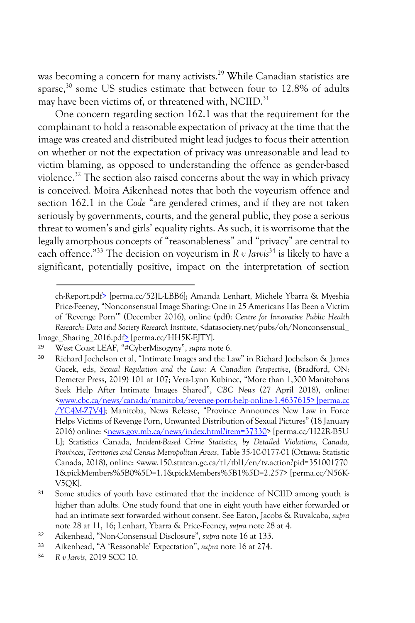was becoming a concern for many activists.<sup>29</sup> While Canadian statistics are sparse,<sup>30</sup> some US studies estimate that between four to 12.8% of adults may have been victims of, or threatened with, NCIID.<sup>31</sup>

One concern regarding section 162.1 was that the requirement for the complainant to hold a reasonable expectation of privacy at the time that the image was created and distributed might lead judges to focus their attention on whether or not the expectation of privacy was unreasonable and lead to victim blaming, as opposed to understanding the offence as gender-based violence.<sup>32</sup> The section also raised concerns about the way in which privacy is conceived. Moira Aikenhead notes that both the voyeurism offence and section 162.1 in the *Code* "are gendered crimes, and if they are not taken seriously by governments, courts, and the general public, they pose a serious threat to women's and girls' equality rights. As such, it is worrisome that the legally amorphous concepts of "reasonableness" and "privacy" are central to each offence."<sup>33</sup> The decision on voyeurism in *R v Jarvis*<sup>34</sup> is likely to have a significant, potentially positive, impact on the interpretation of section

ch-Report.pdf> [perma.cc/52JL-LBB6]; Amanda Lenhart, Michele Ybarra & Myeshia Price-Feeney, "Nonconsensual Image Sharing: One in 25 Americans Has Been a Victim of 'Revenge Porn'" (December 2016), online (pdf): *Centre for Innovative Public Health Research*: *Data and Society Research Institute*, <datasociety.net/pubs/oh/Nonconsensual\_ Image\_Sharing\_2016.pdf> [perma.cc/HH5K-EJTY].

<sup>29</sup> West Coast LEAF, "#CyberMisogyny", *supra* note 6.

<sup>30</sup> Richard Jochelson et al, "Intimate Images and the Law" in Richard Jochelson & James Gacek, eds, *Sexual Regulation and the Law: A Canadian Perspective*, (Bradford, ON: Demeter Press, 2019) 101 at 107; Vera-Lynn Kubinec, "More than 1,300 Manitobans Seek Help After Intimate Images Shared", *CBC News* (27 April 2018), online: <www.cbc.ca/news/canada/manitoba/revenge-porn-help-online-1.4637615> [perma.cc /YC4M-Z7V4]; Manitoba, News Release, "Province Announces New Law in Force Helps Victims of Revenge Porn, Unwanted Distribution of Sexual Pictures" (18 January 2016) online: <news.gov.mb.ca/news/index.html?item=37330> [perma.cc/H22R-B5U L]; Statistics Canada, *Incident-Based Crime Statistics, by Detailed Violations, Canada, Provinces, Territories and Census Metropolitan Areas*, Table 35-10-0177-01 (Ottawa: Statistic Canada, 2018), online: <www.150.statcan.gc.ca/t1/tbl1/en/tv.action?pid=351001770 1&pickMembers%5B0%5D=1.1&pickMembers%5B1%5D=2.257> [perma.cc/N56K-V5QK].

<sup>&</sup>lt;sup>31</sup> Some studies of youth have estimated that the incidence of NCIID among youth is higher than adults. One study found that one in eight youth have either forwarded or had an intimate sext forwarded without consent. See Eaton, Jacobs & Ruvalcaba, *supra* note 28 at 11, 16; Lenhart, Ybarra & Price-Feeney, *supra* note 28 at 4.

<sup>32</sup> Aikenhead, "Non-Consensual Disclosure", *supra* note 16 at 133.

<sup>33</sup> Aikenhead, "A 'Reasonable' Expectation", *supra* note 16 at 274.

<sup>34</sup> *R v Jarvis*, 2019 SCC 10.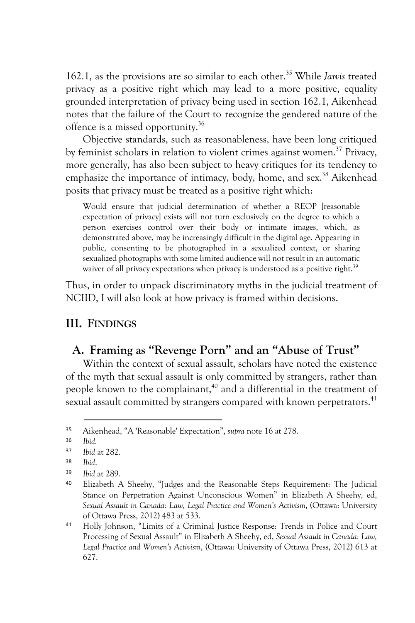162.1, as the provisions are so similar to each other.35 While *Jarvis* treated privacy as a positive right which may lead to a more positive, equality grounded interpretation of privacy being used in section 162.1, Aikenhead notes that the failure of the Court to recognize the gendered nature of the offence is a missed opportunity.36

Objective standards, such as reasonableness, have been long critiqued by feminist scholars in relation to violent crimes against women.<sup>37</sup> Privacy, more generally, has also been subject to heavy critiques for its tendency to emphasize the importance of intimacy, body, home, and sex.<sup>38</sup> Aikenhead posits that privacy must be treated as a positive right which:

Would ensure that judicial determination of whether a REOP [reasonable expectation of privacy] exists will not turn exclusively on the degree to which a person exercises control over their body or intimate images, which, as demonstrated above, may be increasingly difficult in the digital age. Appearing in public, consenting to be photographed in a sexualized context, or sharing sexualized photographs with some limited audience will not result in an automatic waiver of all privacy expectations when privacy is understood as a positive right.<sup>39</sup>

Thus, in order to unpack discriminatory myths in the judicial treatment of NCIID, I will also look at how privacy is framed within decisions.

## **III. FINDINGS**

## **A. Framing as "Revenge Porn" and an "Abuse of Trust"**

Within the context of sexual assault, scholars have noted the existence of the myth that sexual assault is only committed by strangers, rather than people known to the complainant,<sup>40</sup> and a differential in the treatment of sexual assault committed by strangers compared with known perpetrators.<sup>41</sup>

 <sup>35</sup> Aikenhead, "A 'Reasonable' Expectation", *supra* note 16 at 278.

<sup>36</sup> *Ibid.*

<sup>37</sup> *Ibid* at 282.

<sup>38</sup> *Ibid*.

<sup>39</sup> *Ibid* at 289.

<sup>40</sup> Elizabeth A Sheehy, "Judges and the Reasonable Steps Requirement: The Judicial Stance on Perpetration Against Unconscious Women" in Elizabeth A Sheehy, ed, *Sexual Assault in Canada: Law, Legal Practice and Women's Activism*, (Ottawa: University of Ottawa Press, 2012) 483 at 533.

<sup>41</sup> Holly Johnson, "Limits of a Criminal Justice Response: Trends in Police and Court Processing of Sexual Assault" in Elizabeth A Sheehy, ed, *Sexual Assault in Canada: Law, Legal Practice and Women's Activism*, (Ottawa: University of Ottawa Press, 2012) 613 at 627.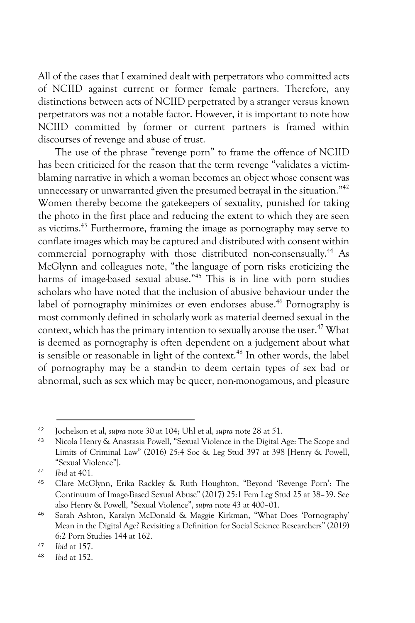All of the cases that I examined dealt with perpetrators who committed acts of NCIID against current or former female partners. Therefore, any distinctions between acts of NCIID perpetrated by a stranger versus known perpetrators was not a notable factor. However, it is important to note how NCIID committed by former or current partners is framed within discourses of revenge and abuse of trust.

The use of the phrase "revenge porn" to frame the offence of NCIID has been criticized for the reason that the term revenge "validates a victimblaming narrative in which a woman becomes an object whose consent was unnecessary or unwarranted given the presumed betrayal in the situation."<sup>42</sup> Women thereby become the gatekeepers of sexuality, punished for taking the photo in the first place and reducing the extent to which they are seen as victims.43 Furthermore, framing the image as pornography may serve to conflate images which may be captured and distributed with consent within commercial pornography with those distributed non-consensually.<sup>44</sup> As McGlynn and colleagues note, "the language of porn risks eroticizing the harms of image-based sexual abuse."<sup>45</sup> This is in line with porn studies scholars who have noted that the inclusion of abusive behaviour under the label of pornography minimizes or even endorses abuse.<sup>46</sup> Pornography is most commonly defined in scholarly work as material deemed sexual in the context, which has the primary intention to sexually arouse the user.<sup>47</sup> What is deemed as pornography is often dependent on a judgement about what is sensible or reasonable in light of the context.<sup>48</sup> In other words, the label of pornography may be a stand-in to deem certain types of sex bad or abnormal, such as sex which may be queer, non-monogamous, and pleasure

 <sup>42</sup> Jochelson et al, *supra* note 30 at 104; Uhl et al, *supra* note 28 at 51.

<sup>43</sup> Nicola Henry & Anastasia Powell, "Sexual Violence in the Digital Age: The Scope and Limits of Criminal Law" (2016) 25:4 Soc & Leg Stud 397 at 398 [Henry & Powell, "Sexual Violence"].

<sup>44</sup> *Ibid* at 401.

<sup>45</sup> Clare McGlynn, Erika Rackley & Ruth Houghton, "Beyond 'Revenge Porn': The Continuum of Image-Based Sexual Abuse" (2017) 25:1 Fem Leg Stud 25 at 38–39. See also Henry & Powell, "Sexual Violence", *supra* note 43 at 400–01.

<sup>46</sup> Sarah Ashton, Karalyn McDonald & Maggie Kirkman, "What Does 'Pornography' Mean in the Digital Age? Revisiting a Definition for Social Science Researchers" (2019) 6:2 Porn Studies 144 at 162.

<sup>47</sup> *Ibid* at 157.

<sup>48</sup> *Ibid* at 152.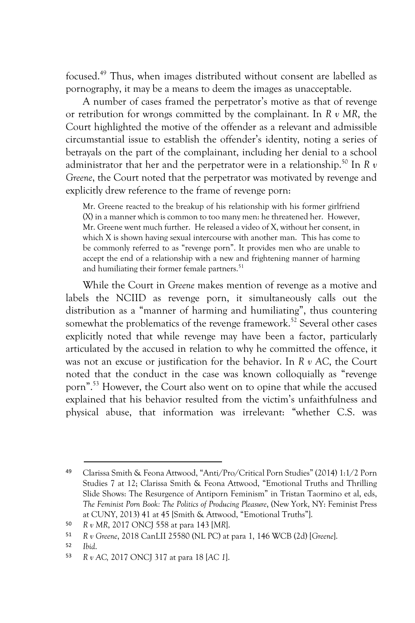focused.49 Thus, when images distributed without consent are labelled as pornography, it may be a means to deem the images as unacceptable.

A number of cases framed the perpetrator's motive as that of revenge or retribution for wrongs committed by the complainant. In *R v MR*, the Court highlighted the motive of the offender as a relevant and admissible circumstantial issue to establish the offender's identity, noting a series of betrayals on the part of the complainant, including her denial to a school administrator that her and the perpetrator were in a relationship.<sup>50</sup> In  $R v$ *Greene*, the Court noted that the perpetrator was motivated by revenge and explicitly drew reference to the frame of revenge porn:

Mr. Greene reacted to the breakup of his relationship with his former girlfriend (X) in a manner which is common to too many men: he threatened her. However, Mr. Greene went much further. He released a video of X, without her consent, in which X is shown having sexual intercourse with another man. This has come to be commonly referred to as "revenge porn". It provides men who are unable to accept the end of a relationship with a new and frightening manner of harming and humiliating their former female partners.<sup>51</sup>

While the Court in *Greene* makes mention of revenge as a motive and labels the NCIID as revenge porn, it simultaneously calls out the distribution as a "manner of harming and humiliating", thus countering somewhat the problematics of the revenge framework.<sup>52</sup> Several other cases explicitly noted that while revenge may have been a factor, particularly articulated by the accused in relation to why he committed the offence, it was not an excuse or justification for the behavior. In *R v AC*, the Court noted that the conduct in the case was known colloquially as "revenge porn".53 However, the Court also went on to opine that while the accused explained that his behavior resulted from the victim's unfaithfulness and physical abuse, that information was irrelevant: "whether C.S. was

 <sup>49</sup> Clarissa Smith & Feona Attwood, "Anti/Pro/Critical Porn Studies" (2014) 1:1/2 Porn Studies 7 at 12; Clarissa Smith & Feona Attwood, "Emotional Truths and Thrilling Slide Shows: The Resurgence of Antiporn Feminism" in Tristan Taormino et al, eds, *The Feminist Porn Book: The Politics of Producing Pleasure*, (New York, NY: Feminist Press at CUNY, 2013) 41 at 45 [Smith & Attwood, "Emotional Truths"].

<sup>50</sup> *R v MR*, 2017 ONCJ 558 at para 143 [*MR*].

<sup>51</sup> *R v Greene*, 2018 CanLII 25580 (NL PC) at para 1, 146 WCB (2d) [*Greene*].

<sup>52</sup> *Ibid*.

<sup>53</sup> *R v AC,* 2017 ONCJ 317 at para 18 [*AC 1*].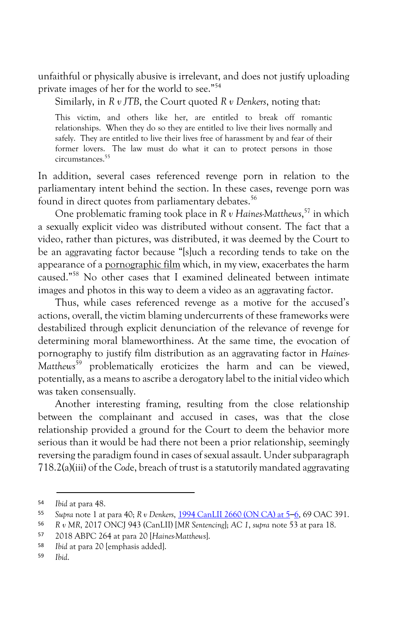unfaithful or physically abusive is irrelevant, and does not justify uploading private images of her for the world to see." 54

Similarly, in *R v JTB*, the Court quoted *R v Denkers*, noting that:

This victim, and others like her, are entitled to break off romantic relationships. When they do so they are entitled to live their lives normally and safely. They are entitled to live their lives free of harassment by and fear of their former lovers. The law must do what it can to protect persons in those circumstances.55

In addition, several cases referenced revenge porn in relation to the parliamentary intent behind the section. In these cases, revenge porn was found in direct quotes from parliamentary debates.<sup>56</sup>

One problematic framing took place in *R v Haines-Matthews*, <sup>57</sup> in which a sexually explicit video was distributed without consent. The fact that a video, rather than pictures, was distributed, it was deemed by the Court to be an aggravating factor because "[s]uch a recording tends to take on the appearance of a pornographic film which, in my view, exacerbates the harm caused." <sup>58</sup> No other cases that I examined delineated between intimate images and photos in this way to deem a video as an aggravating factor.

Thus, while cases referenced revenge as a motive for the accused's actions, overall, the victim blaming undercurrents of these frameworks were destabilized through explicit denunciation of the relevance of revenge for determining moral blameworthiness. At the same time, the evocation of pornography to justify film distribution as an aggravating factor in *Haines-Matthews*<sup>59</sup> problematically eroticizes the harm and can be viewed, potentially, as a means to ascribe a derogatory label to the initial video which was taken consensually.

Another interesting framing, resulting from the close relationship between the complainant and accused in cases, was that the close relationship provided a ground for the Court to deem the behavior more serious than it would be had there not been a prior relationship, seemingly reversing the paradigm found in cases of sexual assault. Under subparagraph 718.2(a)(iii) of the *Cod*e, breach of trust is a statutorily mandated aggravating

 <sup>54</sup> *Ibid* at para 48.

<sup>55</sup> *Supra* note 1 at para 40; *R v Denkers*, 1994 CanLII 2660 (ON CA) at 5–6, 69 OAC 391.

<sup>56</sup> *R v MR*, 2017 ONCJ 943 (CanLII) [*MR Sentencing*]; *AC 1*, *supra* note 53 at para 18.

<sup>57</sup> 2018 ABPC 264 at para 20 [*Haines-Matthews*].

<sup>58</sup> *Ibid* at para 20 [emphasis added].

<sup>59</sup> *Ibid*.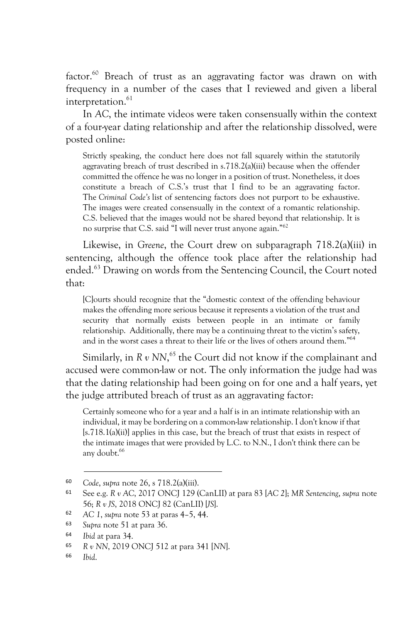factor.<sup>60</sup> Breach of trust as an aggravating factor was drawn on with frequency in a number of the cases that I reviewed and given a liberal interpretation.<sup>61</sup>

In *AC*, the intimate videos were taken consensually within the context of a four-year dating relationship and after the relationship dissolved, were posted online:

Strictly speaking, the conduct here does not fall squarely within the statutorily aggravating breach of trust described in s.718.2(a)(iii) because when the offender committed the offence he was no longer in a position of trust. Nonetheless, it does constitute a breach of C.S.'s trust that I find to be an aggravating factor. The *Criminal Code's* list of sentencing factors does not purport to be exhaustive. The images were created consensually in the context of a romantic relationship. C.S. believed that the images would not be shared beyond that relationship. It is no surprise that C.S. said "I will never trust anyone again."62

Likewise, in *Greene*, the Court drew on subparagraph 718.2(a)(iii) in sentencing, although the offence took place after the relationship had ended.63 Drawing on words from the Sentencing Council, the Court noted that:

[C]ourts should recognize that the "domestic context of the offending behaviour makes the offending more serious because it represents a violation of the trust and security that normally exists between people in an intimate or family relationship. Additionally, there may be a continuing threat to the victim's safety, and in the worst cases a threat to their life or the lives of others around them."64

Similarly, in R v NN,<sup>65</sup> the Court did not know if the complainant and accused were common-law or not. The only information the judge had was that the dating relationship had been going on for one and a half years, yet the judge attributed breach of trust as an aggravating factor:

Certainly someone who for a year and a half is in an intimate relationship with an individual, it may be bordering on a common-law relationship. I don't know if that [s.718.1(a)(ii)] applies in this case, but the breach of trust that exists in respect of the intimate images that were provided by L.C. to N.N., I don't think there can be any doubt.<sup>66</sup>

 <sup>60</sup> *Code*, *supra* note 26, s 718.2(a)(iii).

<sup>61</sup> See e.g. *R v AC*, 2017 ONCJ 129 (CanLII) at para 83 [*AC 2*]; *MR Sentencing*, *supra* note 56; *R v JS*, 2018 ONCJ 82 (CanLII) [*JS*].

<sup>62</sup> *AC 1*, *supra* note 53 at paras 4–5, 44.

<sup>63</sup> *Supra* note 51 at para 36.

<sup>64</sup> *Ibid* at para 34.

<sup>65</sup> *R v NN*, 2019 ONCJ 512 at para 341 [*NN*].

<sup>66</sup> *Ibid*.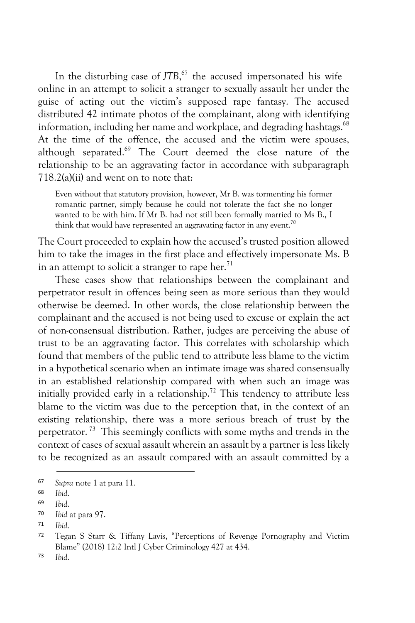In the disturbing case of *JTB*, <sup>67</sup> the accused impersonated his wife online in an attempt to solicit a stranger to sexually assault her under the guise of acting out the victim's supposed rape fantasy. The accused distributed 42 intimate photos of the complainant, along with identifying information, including her name and workplace, and degrading hashtags.<sup>68</sup> At the time of the offence, the accused and the victim were spouses, although separated.<sup>69</sup> The Court deemed the close nature of the relationship to be an aggravating factor in accordance with subparagraph 718.2(a)(ii) and went on to note that:

Even without that statutory provision, however, Mr B. was tormenting his former romantic partner, simply because he could not tolerate the fact she no longer wanted to be with him. If Mr B. had not still been formally married to Ms B., I think that would have represented an aggravating factor in any event.<sup>70</sup>

The Court proceeded to explain how the accused's trusted position allowed him to take the images in the first place and effectively impersonate Ms. B in an attempt to solicit a stranger to rape her. $71$ 

These cases show that relationships between the complainant and perpetrator result in offences being seen as more serious than they would otherwise be deemed. In other words, the close relationship between the complainant and the accused is not being used to excuse or explain the act of non-consensual distribution. Rather, judges are perceiving the abuse of trust to be an aggravating factor. This correlates with scholarship which found that members of the public tend to attribute less blame to the victim in a hypothetical scenario when an intimate image was shared consensually in an established relationship compared with when such an image was initially provided early in a relationship.<sup>72</sup> This tendency to attribute less blame to the victim was due to the perception that, in the context of an existing relationship, there was a more serious breach of trust by the perpetrator. 73 This seemingly conflicts with some myths and trends in the context of cases of sexual assault wherein an assault by a partner is less likely to be recognized as an assault compared with an assault committed by a

 <sup>67</sup> *Supra* note 1 at para 11.

<sup>68</sup> *Ibid*.

<sup>69</sup> *Ibid*.

<sup>70</sup> *Ibid* at para 97.

<sup>71</sup> *Ibid*.

<sup>72</sup> Tegan S Starr & Tiffany Lavis, "Perceptions of Revenge Pornography and Victim Blame" (2018) 12:2 Intl J Cyber Criminology 427 at 434.

<sup>73</sup> *Ibid*.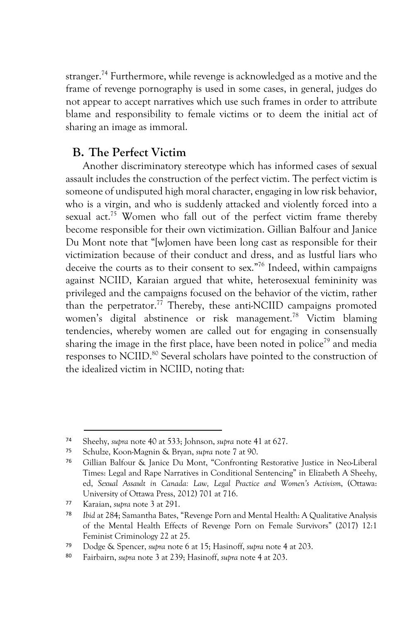stranger.<sup>74</sup> Furthermore, while revenge is acknowledged as a motive and the frame of revenge pornography is used in some cases, in general, judges do not appear to accept narratives which use such frames in order to attribute blame and responsibility to female victims or to deem the initial act of sharing an image as immoral.

# **B. The Perfect Victim**

Another discriminatory stereotype which has informed cases of sexual assault includes the construction of the perfect victim. The perfect victim is someone of undisputed high moral character, engaging in low risk behavior, who is a virgin, and who is suddenly attacked and violently forced into a sexual act.<sup>75</sup> Women who fall out of the perfect victim frame thereby become responsible for their own victimization. Gillian Balfour and Janice Du Mont note that "[w]omen have been long cast as responsible for their victimization because of their conduct and dress, and as lustful liars who deceive the courts as to their consent to sex."76 Indeed, within campaigns against NCIID, Karaian argued that white, heterosexual femininity was privileged and the campaigns focused on the behavior of the victim, rather than the perpetrator.<sup>77</sup> Thereby, these anti-NCIID campaigns promoted women's digital abstinence or risk management.<sup>78</sup> Victim blaming tendencies, whereby women are called out for engaging in consensually sharing the image in the first place, have been noted in police<sup>79</sup> and media responses to NCIID.<sup>80</sup> Several scholars have pointed to the construction of the idealized victim in NCIID, noting that:

 <sup>74</sup> Sheehy, *supra* note 40 at 533; Johnson, *supra* note 41 at 627.

<sup>75</sup> Schulze, Koon-Magnin & Bryan, *supra* note 7 at 90.

<sup>76</sup> Gillian Balfour & Janice Du Mont, "Confronting Restorative Justice in Neo-Liberal Times: Legal and Rape Narratives in Conditional Sentencing" in Elizabeth A Sheehy, ed, *Sexual Assault in Canada: Law, Legal Practice and Women's Activism*, (Ottawa: University of Ottawa Press, 2012) 701 at 716.

<sup>77</sup> Karaian, *supra* note 3 at 291.

<sup>78</sup> *Ibid* at 284; Samantha Bates, "Revenge Porn and Mental Health: A Qualitative Analysis of the Mental Health Effects of Revenge Porn on Female Survivors" (2017) 12:1 Feminist Criminology 22 at 25.

<sup>79</sup> Dodge & Spencer, *supra* note 6 at 15; Hasinoff, *supra* note 4 at 203.

<sup>80</sup> Fairbairn, *supra* note 3 at 239; Hasinoff, *supra* note 4 at 203.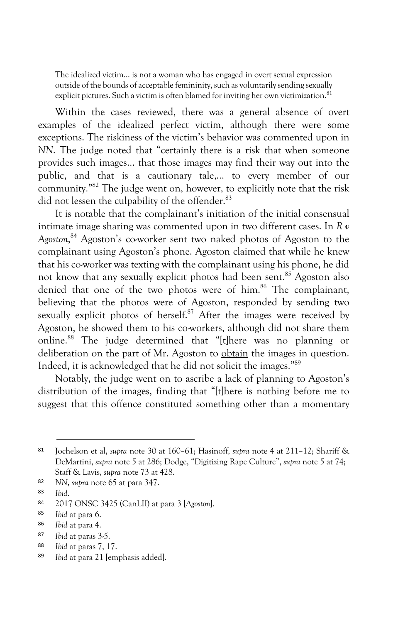The idealized victim… is not a woman who has engaged in overt sexual expression outside of the bounds of acceptable femininity, such as voluntarily sending sexually explicit pictures. Such a victim is often blamed for inviting her own victimization.<sup>81</sup>

Within the cases reviewed, there was a general absence of overt examples of the idealized perfect victim, although there were some exceptions. The riskiness of the victim's behavior was commented upon in *NN*. The judge noted that "certainly there is a risk that when someone provides such images… that those images may find their way out into the public, and that is a cautionary tale,… to every member of our community."82 The judge went on, however, to explicitly note that the risk did not lessen the culpability of the offender.<sup>83</sup>

It is notable that the complainant's initiation of the initial consensual intimate image sharing was commented upon in two different cases. In *R v Agoston*, <sup>84</sup> Agoston's co-worker sent two naked photos of Agoston to the complainant using Agoston's phone. Agoston claimed that while he knew that his co-worker was texting with the complainant using his phone, he did not know that any sexually explicit photos had been sent.<sup>85</sup> Agoston also denied that one of the two photos were of him.<sup>86</sup> The complainant, believing that the photos were of Agoston, responded by sending two sexually explicit photos of herself.<sup>87</sup> After the images were received by Agoston, he showed them to his co-workers, although did not share them online.88 The judge determined that "[t]here was no planning or deliberation on the part of Mr. Agoston to obtain the images in question. Indeed, it is acknowledged that he did not solicit the images."89

Notably, the judge went on to ascribe a lack of planning to Agoston's distribution of the images, finding that "[t]here is nothing before me to suggest that this offence constituted something other than a momentary

 <sup>81</sup> Jochelson et al, *supra* note 30 at 160–61; Hasinoff, *supra* note 4 at 211–12; Shariff & DeMartini, *supra* note 5 at 286; Dodge, "Digitizing Rape Culture", *supra* note 5 at 74; Staff & Lavis, *supra* note 73 at 428.

<sup>82</sup> *NN*, *supra* note 65 at para 347.

<sup>83</sup> *Ibid*.

<sup>84</sup> 2017 ONSC 3425 (CanLII) at para 3 [*Agoston*].

<sup>85</sup> *Ibid* at para 6.

<sup>86</sup> *Ibid* at para 4.

<sup>87</sup> *Ibid* at paras 3-5.

<sup>88</sup> *Ibid* at paras 7, 17.

<sup>89</sup> *Ibid* at para 21 [emphasis added].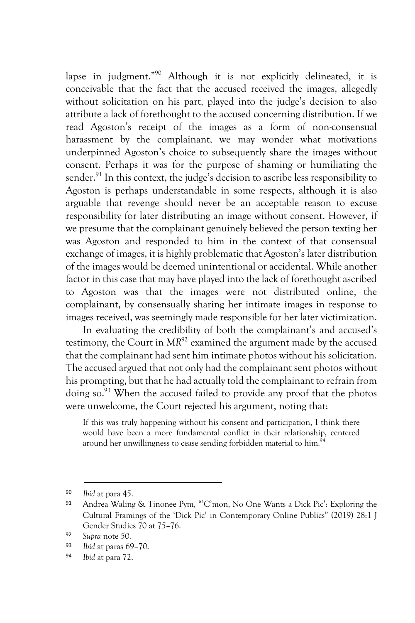lapse in judgment."90 Although it is not explicitly delineated, it is conceivable that the fact that the accused received the images, allegedly without solicitation on his part, played into the judge's decision to also attribute a lack of forethought to the accused concerning distribution. If we read Agoston's receipt of the images as a form of non-consensual harassment by the complainant, we may wonder what motivations underpinned Agoston's choice to subsequently share the images without consent. Perhaps it was for the purpose of shaming or humiliating the sender.<sup>91</sup> In this context, the judge's decision to ascribe less responsibility to Agoston is perhaps understandable in some respects, although it is also arguable that revenge should never be an acceptable reason to excuse responsibility for later distributing an image without consent. However, if we presume that the complainant genuinely believed the person texting her was Agoston and responded to him in the context of that consensual exchange of images, it is highly problematic that Agoston's later distribution of the images would be deemed unintentional or accidental. While another factor in this case that may have played into the lack of forethought ascribed to Agoston was that the images were not distributed online, the complainant, by consensually sharing her intimate images in response to images received, was seemingly made responsible for her later victimization.

In evaluating the credibility of both the complainant's and accused's testimony, the Court in *MR*<sup>92</sup> examined the argument made by the accused that the complainant had sent him intimate photos without his solicitation. The accused argued that not only had the complainant sent photos without his prompting, but that he had actually told the complainant to refrain from doing so.93 When the accused failed to provide any proof that the photos were unwelcome, the Court rejected his argument, noting that:

If this was truly happening without his consent and participation, I think there would have been a more fundamental conflict in their relationship, centered around her unwillingness to cease sending forbidden material to him.<sup>94</sup>

<sup>94</sup> *Ibid* at para 72.

 <sup>90</sup> *Ibid* at para 45.

<sup>91</sup> Andrea Waling & Tinonee Pym, "'C'mon, No One Wants a Dick Pic': Exploring the Cultural Framings of the 'Dick Pic' in Contemporary Online Publics" (2019) 28:1 J Gender Studies 70 at 75–76.

<sup>92</sup> *Supra* note 50.

<sup>93</sup> *Ibid* at paras 69–70.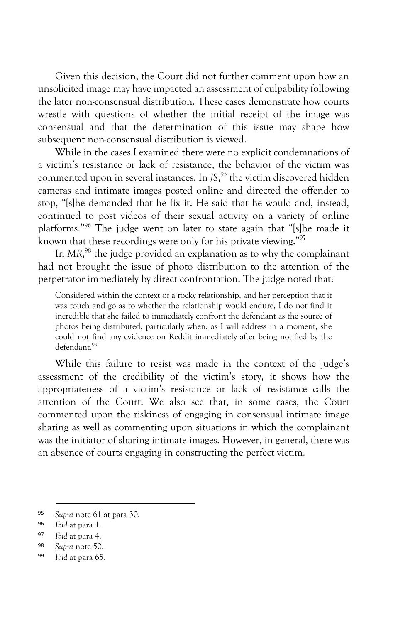Given this decision, the Court did not further comment upon how an unsolicited image may have impacted an assessment of culpability following the later non-consensual distribution. These cases demonstrate how courts wrestle with questions of whether the initial receipt of the image was consensual and that the determination of this issue may shape how subsequent non-consensual distribution is viewed.

While in the cases I examined there were no explicit condemnations of a victim's resistance or lack of resistance, the behavior of the victim was commented upon in several instances. In *JS*, <sup>95</sup> the victim discovered hidden cameras and intimate images posted online and directed the offender to stop, "[s]he demanded that he fix it. He said that he would and, instead, continued to post videos of their sexual activity on a variety of online platforms."96 The judge went on later to state again that "[s]he made it known that these recordings were only for his private viewing."97

In *MR*, <sup>98</sup> the judge provided an explanation as to why the complainant had not brought the issue of photo distribution to the attention of the perpetrator immediately by direct confrontation. The judge noted that:

Considered within the context of a rocky relationship, and her perception that it was touch and go as to whether the relationship would endure, I do not find it incredible that she failed to immediately confront the defendant as the source of photos being distributed, particularly when, as I will address in a moment, she could not find any evidence on Reddit immediately after being notified by the defendant.99

While this failure to resist was made in the context of the judge's assessment of the credibility of the victim's story, it shows how the appropriateness of a victim's resistance or lack of resistance calls the attention of the Court. We also see that, in some cases, the Court commented upon the riskiness of engaging in consensual intimate image sharing as well as commenting upon situations in which the complainant was the initiator of sharing intimate images. However, in general, there was an absence of courts engaging in constructing the perfect victim.

 <sup>95</sup> *Supra* note 61 at para 30.

<sup>96</sup> *Ibid* at para 1.

<sup>97</sup> *Ibid* at para 4.

<sup>98</sup> *Supra* note 50.

<sup>99</sup> *Ibid* at para 65.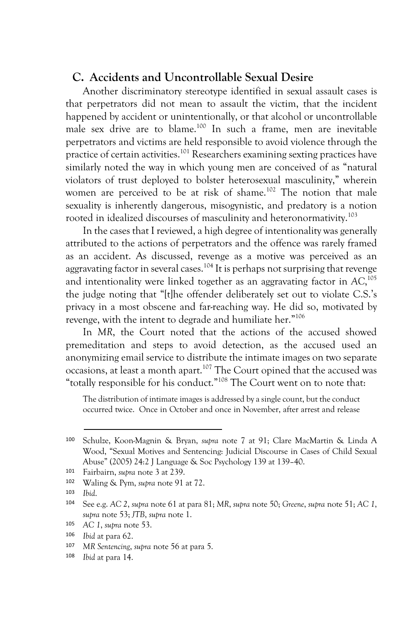## **C. Accidents and Uncontrollable Sexual Desire**

Another discriminatory stereotype identified in sexual assault cases is that perpetrators did not mean to assault the victim, that the incident happened by accident or unintentionally, or that alcohol or uncontrollable male sex drive are to blame.100 In such a frame, men are inevitable perpetrators and victims are held responsible to avoid violence through the practice of certain activities.101 Researchers examining sexting practices have similarly noted the way in which young men are conceived of as "natural violators of trust deployed to bolster heterosexual masculinity," wherein women are perceived to be at risk of shame.<sup>102</sup> The notion that male sexuality is inherently dangerous, misogynistic, and predatory is a notion rooted in idealized discourses of masculinity and heteronormativity.<sup>103</sup>

In the cases that I reviewed, a high degree of intentionality was generally attributed to the actions of perpetrators and the offence was rarely framed as an accident. As discussed, revenge as a motive was perceived as an aggravating factor in several cases.<sup>104</sup> It is perhaps not surprising that revenge and intentionality were linked together as an aggravating factor in *AC*, 105 the judge noting that "[t]he offender deliberately set out to violate C.S.'s privacy in a most obscene and far-reaching way. He did so, motivated by revenge, with the intent to degrade and humiliate her."106

In *MR*, the Court noted that the actions of the accused showed premeditation and steps to avoid detection, as the accused used an anonymizing email service to distribute the intimate images on two separate occasions, at least a month apart.107 The Court opined that the accused was "totally responsible for his conduct."<sup>108</sup> The Court went on to note that:

The distribution of intimate images is addressed by a single count, but the conduct occurred twice. Once in October and once in November, after arrest and release

 <sup>100</sup> Schulze, Koon-Magnin & Bryan, *supra* note 7 at 91; Clare MacMartin & Linda A Wood, "Sexual Motives and Sentencing: Judicial Discourse in Cases of Child Sexual Abuse" (2005) 24:2 J Language & Soc Psychology 139 at 139–40.

<sup>101</sup> Fairbairn, *supra* note 3 at 239.

<sup>102</sup> Waling & Pym, *supra* note 91 at 72.

<sup>103</sup> *Ibid*.

<sup>104</sup> See e.g. *AC 2*, *supra* note 61 at para 81; *MR*, *supra* note 50; *Greene*, *supra* note 51; *AC 1*, *supra* note 53; *JTB*, *supra* note 1.

<sup>105</sup> *AC 1*, *supra* note 53.

<sup>106</sup> *Ibid* at para 62.

<sup>107</sup> *MR Sentencing*, *supra* note 56 at para 5.

<sup>108</sup> *Ibid* at para 14.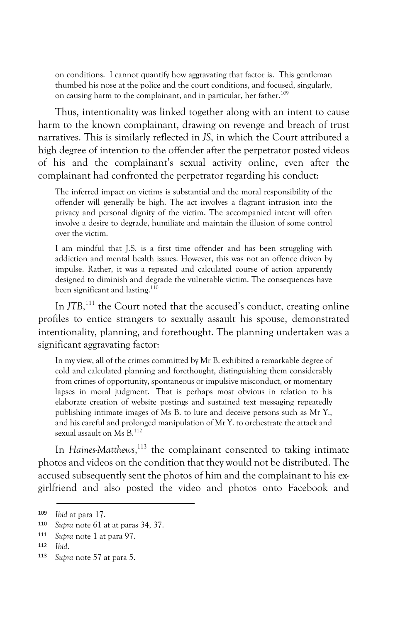on conditions. I cannot quantify how aggravating that factor is. This gentleman thumbed his nose at the police and the court conditions, and focused, singularly, on causing harm to the complainant, and in particular, her father.<sup>109</sup>

Thus, intentionality was linked together along with an intent to cause harm to the known complainant, drawing on revenge and breach of trust narratives. This is similarly reflected in *JS*, in which the Court attributed a high degree of intention to the offender after the perpetrator posted videos of his and the complainant's sexual activity online, even after the complainant had confronted the perpetrator regarding his conduct:

The inferred impact on victims is substantial and the moral responsibility of the offender will generally be high. The act involves a flagrant intrusion into the privacy and personal dignity of the victim. The accompanied intent will often involve a desire to degrade, humiliate and maintain the illusion of some control over the victim.

I am mindful that J.S. is a first time offender and has been struggling with addiction and mental health issues. However, this was not an offence driven by impulse. Rather, it was a repeated and calculated course of action apparently designed to diminish and degrade the vulnerable victim. The consequences have been significant and lasting.<sup>110</sup>

In *JTB*,<sup>111</sup> the Court noted that the accused's conduct, creating online profiles to entice strangers to sexually assault his spouse, demonstrated intentionality, planning, and forethought. The planning undertaken was a significant aggravating factor:

In my view, all of the crimes committed by Mr B. exhibited a remarkable degree of cold and calculated planning and forethought, distinguishing them considerably from crimes of opportunity, spontaneous or impulsive misconduct, or momentary lapses in moral judgment. That is perhaps most obvious in relation to his elaborate creation of website postings and sustained text messaging repeatedly publishing intimate images of Ms B. to lure and deceive persons such as Mr Y., and his careful and prolonged manipulation of Mr Y. to orchestrate the attack and sexual assault on Ms B.<sup>112</sup>

In *Haines-Matthews*,<sup>113</sup> the complainant consented to taking intimate photos and videos on the condition that they would not be distributed. The accused subsequently sent the photos of him and the complainant to his exgirlfriend and also posted the video and photos onto Facebook and

 <sup>109</sup> *Ibid* at para 17.

<sup>110</sup> *Supra* note 61 at at paras 34, 37.

<sup>111</sup> *Supra* note 1 at para 97.

<sup>112</sup> *Ibid*.

<sup>113</sup> *Supra* note 57 at para 5.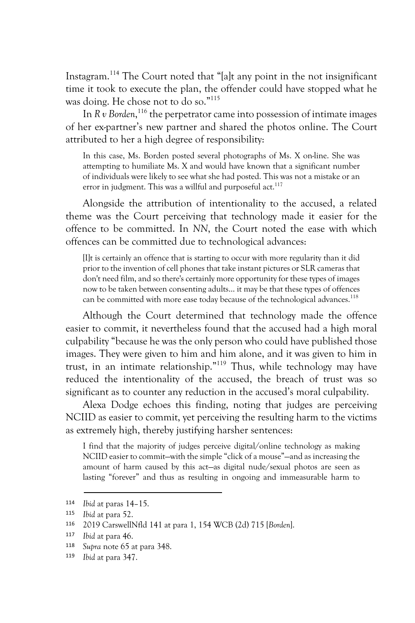Instagram.114 The Court noted that "[a]t any point in the not insignificant time it took to execute the plan, the offender could have stopped what he was doing. He chose not to do so." 115

In  $R v$  *Borden*,<sup>116</sup> the perpetrator came into possession of intimate images of her ex-partner's new partner and shared the photos online. The Court attributed to her a high degree of responsibility:

In this case, Ms. Borden posted several photographs of Ms. X on-line. She was attempting to humiliate Ms. X and would have known that a significant number of individuals were likely to see what she had posted. This was not a mistake or an error in judgment. This was a willful and purposeful act.<sup>117</sup>

Alongside the attribution of intentionality to the accused, a related theme was the Court perceiving that technology made it easier for the offence to be committed. In *NN*, the Court noted the ease with which offences can be committed due to technological advances:

[I]t is certainly an offence that is starting to occur with more regularity than it did prior to the invention of cell phones that take instant pictures or SLR cameras that don't need film, and so there's certainly more opportunity for these types of images now to be taken between consenting adults... it may be that these types of offences can be committed with more ease today because of the technological advances.<sup>118</sup>

Although the Court determined that technology made the offence easier to commit, it nevertheless found that the accused had a high moral culpability "because he was the only person who could have published those images. They were given to him and him alone, and it was given to him in trust, in an intimate relationship."119 Thus, while technology may have reduced the intentionality of the accused, the breach of trust was so significant as to counter any reduction in the accused's moral culpability.

Alexa Dodge echoes this finding, noting that judges are perceiving NCIID as easier to commit, yet perceiving the resulting harm to the victims as extremely high, thereby justifying harsher sentences:

I find that the majority of judges perceive digital/online technology as making NCIID easier to commit—with the simple "click of a mouse"—and as increasing the amount of harm caused by this act—as digital nude/sexual photos are seen as lasting "forever" and thus as resulting in ongoing and immeasurable harm to

 <sup>114</sup> *Ibid* at paras 14–15.

<sup>115</sup> *Ibid* at para 52.

<sup>116</sup> 2019 CarswellNfld 141 at para 1, 154 WCB (2d) 715 [*Borden*].

<sup>117</sup> *Ibid* at para 46.

<sup>118</sup> *Supra* note 65 at para 348.

<sup>119</sup> *Ibid* at para 347.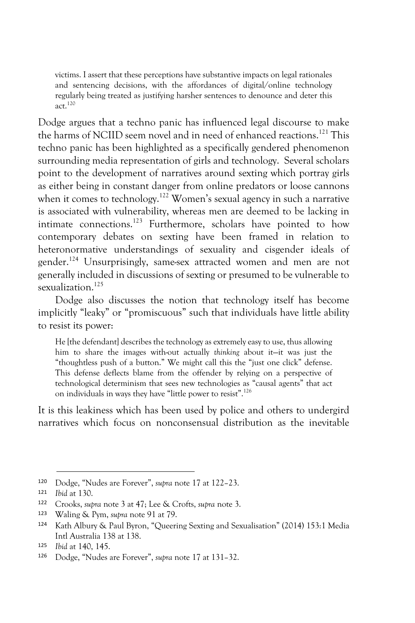victims. I assert that these perceptions have substantive impacts on legal rationales and sentencing decisions, with the affordances of digital/online technology regularly being treated as justifying harsher sentences to denounce and deter this act. $120$ 

Dodge argues that a techno panic has influenced legal discourse to make the harms of NCIID seem novel and in need of enhanced reactions.<sup>121</sup> This techno panic has been highlighted as a specifically gendered phenomenon surrounding media representation of girls and technology. Several scholars point to the development of narratives around sexting which portray girls as either being in constant danger from online predators or loose cannons when it comes to technology.<sup>122</sup> Women's sexual agency in such a narrative is associated with vulnerability, whereas men are deemed to be lacking in intimate connections.<sup>123</sup> Furthermore, scholars have pointed to how contemporary debates on sexting have been framed in relation to heteronormative understandings of sexuality and cisgender ideals of gender.124 Unsurprisingly, same-sex attracted women and men are not generally included in discussions of sexting or presumed to be vulnerable to sexualization.<sup>125</sup>

Dodge also discusses the notion that technology itself has become implicitly "leaky" or "promiscuous" such that individuals have little ability to resist its power:

He [the defendant] describes the technology as extremely easy to use, thus allowing him to share the images with-out actually *thinking* about it—it was just the "thoughtless push of a button." We might call this the "just one click" defense. This defense deflects blame from the offender by relying on a perspective of technological determinism that sees new technologies as "causal agents" that act on individuals in ways they have "little power to resist".126

It is this leakiness which has been used by police and others to undergird narratives which focus on nonconsensual distribution as the inevitable

 <sup>120</sup> Dodge, "Nudes are Forever", *supra* note 17 at 122–23.

<sup>121</sup> *Ibid* at 130.

<sup>122</sup> Crooks, *supra* note 3 at 47; Lee & Crofts, *supra* note 3.

<sup>123</sup> Waling & Pym, *supra* note 91 at 79.

<sup>124</sup> Kath Albury & Paul Byron, "Queering Sexting and Sexualisation" (2014) 153:1 Media Intl Australia 138 at 138.

<sup>125</sup> *Ibid* at 140, 145.

<sup>126</sup> Dodge, "Nudes are Forever", *supra* note 17 at 131–32.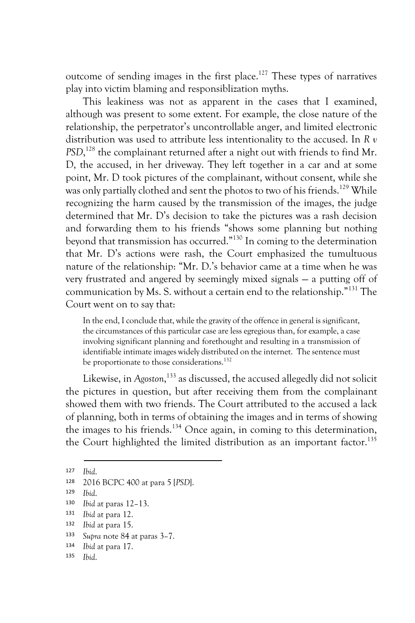outcome of sending images in the first place.<sup>127</sup> These types of narratives play into victim blaming and responsiblization myths.

This leakiness was not as apparent in the cases that I examined, although was present to some extent. For example, the close nature of the relationship, the perpetrator's uncontrollable anger, and limited electronic distribution was used to attribute less intentionality to the accused. In *R v PSD*, <sup>128</sup> the complainant returned after a night out with friends to find Mr. D, the accused, in her driveway. They left together in a car and at some point, Mr. D took pictures of the complainant, without consent, while she was only partially clothed and sent the photos to two of his friends.<sup>129</sup> While recognizing the harm caused by the transmission of the images, the judge determined that Mr. D's decision to take the pictures was a rash decision and forwarding them to his friends "shows some planning but nothing beyond that transmission has occurred."130 In coming to the determination that Mr. D's actions were rash, the Court emphasized the tumultuous nature of the relationship: "Mr. D.'s behavior came at a time when he was very frustrated and angered by seemingly mixed signals — a putting off of communication by Ms. S. without a certain end to the relationship."131 The Court went on to say that:

In the end, I conclude that, while the gravity of the offence in general is significant, the circumstances of this particular case are less egregious than, for example, a case involving significant planning and forethought and resulting in a transmission of identifiable intimate images widely distributed on the internet. The sentence must be proportionate to those considerations.<sup>132</sup>

Likewise, in *Agoston*, <sup>133</sup> as discussed, the accused allegedly did not solicit the pictures in question, but after receiving them from the complainant showed them with two friends. The Court attributed to the accused a lack of planning, both in terms of obtaining the images and in terms of showing the images to his friends.<sup>134</sup> Once again, in coming to this determination, the Court highlighted the limited distribution as an important factor.<sup>135</sup>

 <sup>127</sup> *Ibid*.

<sup>128</sup> 2016 BCPC 400 at para 5 [*PSD*].

<sup>129</sup> *Ibid*.

<sup>130</sup> *Ibid* at paras 12–13.

<sup>131</sup> *Ibid* at para 12.

<sup>132</sup> *Ibid* at para 15.

<sup>133</sup> *Supra* note 84 at paras 3–7.

<sup>134</sup> *Ibid* at para 17.

<sup>135</sup> *Ibid*.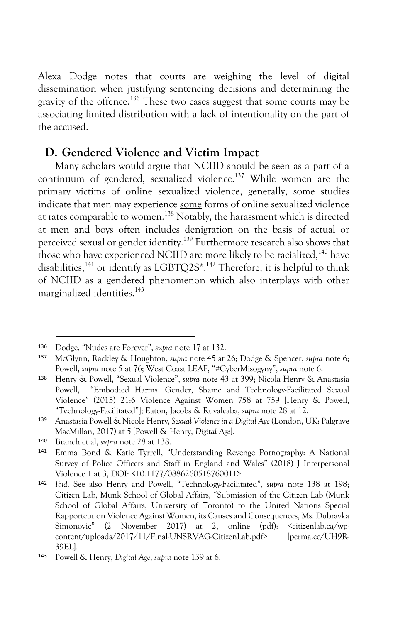Alexa Dodge notes that courts are weighing the level of digital dissemination when justifying sentencing decisions and determining the gravity of the offence.136 These two cases suggest that some courts may be associating limited distribution with a lack of intentionality on the part of the accused.

## **D. Gendered Violence and Victim Impact**

Many scholars would argue that NCIID should be seen as a part of a continuum of gendered, sexualized violence.<sup>137</sup> While women are the primary victims of online sexualized violence, generally, some studies indicate that men may experience some forms of online sexualized violence at rates comparable to women.138 Notably, the harassment which is directed at men and boys often includes denigration on the basis of actual or perceived sexual or gender identity.139 Furthermore research also shows that those who have experienced NCIID are more likely to be racialized.<sup>140</sup> have disabilities,<sup>141</sup> or identify as LGBTQ2S\*.<sup>142</sup> Therefore, it is helpful to think of NCIID as a gendered phenomenon which also interplays with other marginalized identities.<sup>143</sup>

 <sup>136</sup> Dodge, "Nudes are Forever", *supra* note 17 at 132.

<sup>137</sup> McGlynn, Rackley & Houghton, *supra* note 45 at 26; Dodge & Spencer, *supra* note 6; Powell, *supra* note 5 at 76; West Coast LEAF, "#CyberMisogyny", *supra* note 6.

<sup>138</sup> Henry & Powell, "Sexual Violence", *supra* note 43 at 399; Nicola Henry & Anastasia Powell, "Embodied Harms: Gender, Shame and Technology-Facilitated Sexual Violence" (2015) 21:6 Violence Against Women 758 at 759 [Henry & Powell, "Technology-Facilitated"]; Eaton, Jacobs & Ruvalcaba, *supra* note 28 at 12.

<sup>139</sup> Anastasia Powell & Nicole Henry, *Sexual Violence in a Digital Age* (London, UK: Palgrave MacMillan, 2017) at 5 [Powell & Henry, *Digital Age*].

<sup>140</sup> Branch et al, *supra* note 28 at 138.

<sup>141</sup> Emma Bond & Katie Tyrrell, "Understanding Revenge Pornography: A National Survey of Police Officers and Staff in England and Wales" (2018) J Interpersonal Violence 1 at 3, DOI: <10.1177/0886260518760011>.

<sup>142</sup> *Ibid*. See also Henry and Powell, "Technology-Facilitated", *supra* note 138 at 198; Citizen Lab, Munk School of Global Affairs, "Submission of the Citizen Lab (Munk School of Global Affairs, University of Toronto) to the United Nations Special Rapporteur on Violence Against Women, its Causes and Consequences, Ms. Dubravka Simonovic" (2 November 2017) at 2, online (pdf): *<*citizenlab.ca/wpcontent/uploads/2017/11/Final-UNSRVAG-CitizenLab.pdf> [perma.cc/UH9R-39EL].

<sup>143</sup> Powell & Henry, *Digital Age*, *supra* note 139 at 6.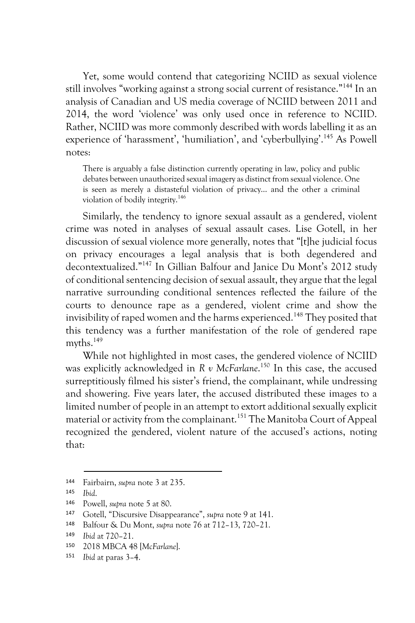Yet, some would contend that categorizing NCIID as sexual violence still involves "working against a strong social current of resistance."144 In an analysis of Canadian and US media coverage of NCIID between 2011 and 2014, the word 'violence' was only used once in reference to NCIID. Rather, NCIID was more commonly described with words labelling it as an experience of 'harassment', 'humiliation', and 'cyberbullying'. <sup>145</sup> As Powell notes:

There is arguably a false distinction currently operating in law, policy and public debates between unauthorized sexual imagery as distinct from sexual violence. One is seen as merely a distasteful violation of privacy… and the other a criminal violation of bodily integrity.146

Similarly, the tendency to ignore sexual assault as a gendered, violent crime was noted in analyses of sexual assault cases. Lise Gotell, in her discussion of sexual violence more generally, notes that "[t]he judicial focus on privacy encourages a legal analysis that is both degendered and decontextualized."147 In Gillian Balfour and Janice Du Mont's 2012 study of conditional sentencing decision of sexual assault, they argue that the legal narrative surrounding conditional sentences reflected the failure of the courts to denounce rape as a gendered, violent crime and show the invisibility of raped women and the harms experienced.<sup>148</sup> They posited that this tendency was a further manifestation of the role of gendered rape myths.<sup>149</sup>

While not highlighted in most cases, the gendered violence of NCIID was explicitly acknowledged in *R v McFarlane*. <sup>150</sup> In this case, the accused surreptitiously filmed his sister's friend, the complainant, while undressing and showering. Five years later, the accused distributed these images to a limited number of people in an attempt to extort additional sexually explicit material or activity from the complainant.<sup>151</sup> The Manitoba Court of Appeal recognized the gendered, violent nature of the accused's actions, noting that:

 <sup>144</sup> Fairbairn, *supra* note 3 at 235.

<sup>145</sup> *Ibid*.

<sup>146</sup> Powell, *supra* note 5 at 80.

<sup>147</sup> Gotell, "Discursive Disappearance", *supra* note 9 at 141.

<sup>148</sup> Balfour & Du Mont, *supra* note 76 at 712–13, 720–21.

<sup>149</sup> *Ibid* at 720–21.

<sup>150</sup> 2018 MBCA 48 [*McFarlane*].

<sup>151</sup> *Ibid* at paras 3–4.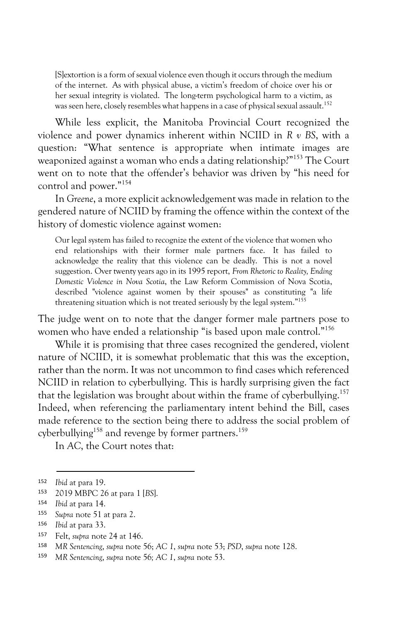[S]extortion is a form of sexual violence even though it occurs through the medium of the internet. As with physical abuse, a victim's freedom of choice over his or her sexual integrity is violated. The long-term psychological harm to a victim, as was seen here, closely resembles what happens in a case of physical sexual assault. 152

While less explicit, the Manitoba Provincial Court recognized the violence and power dynamics inherent within NCIID in *R v BS*, with a question: "What sentence is appropriate when intimate images are weaponized against a woman who ends a dating relationship?" <sup>153</sup> The Court went on to note that the offender's behavior was driven by "his need for control and power."154

In *Greene*, a more explicit acknowledgement was made in relation to the gendered nature of NCIID by framing the offence within the context of the history of domestic violence against women:

Our legal system has failed to recognize the extent of the violence that women who end relationships with their former male partners face. It has failed to acknowledge the reality that this violence can be deadly. This is not a novel suggestion. Over twenty years ago in its 1995 report, *From Rhetoric to Reality, Ending Domestic Violence in Nova Scotia*, the Law Reform Commission of Nova Scotia, described "violence against women by their spouses" as constituting "a life threatening situation which is not treated seriously by the legal system."155

The judge went on to note that the danger former male partners pose to women who have ended a relationship "is based upon male control."<sup>156</sup>

While it is promising that three cases recognized the gendered, violent nature of NCIID, it is somewhat problematic that this was the exception, rather than the norm. It was not uncommon to find cases which referenced NCIID in relation to cyberbullying. This is hardly surprising given the fact that the legislation was brought about within the frame of cyberbullying.<sup>157</sup> Indeed, when referencing the parliamentary intent behind the Bill, cases made reference to the section being there to address the social problem of cyberbullying<sup>158</sup> and revenge by former partners.<sup>159</sup>

In *AC*, the Court notes that:

 <sup>152</sup> *Ibid* at para 19.

<sup>153</sup> 2019 MBPC 26 at para 1 [*BS*].

<sup>154</sup> *Ibid* at para 14.

<sup>155</sup> *Supra* note 51 at para 2.

<sup>156</sup> *Ibid* at para 33.

<sup>157</sup> Felt, *supra* note 24 at 146.

<sup>158</sup> *MR Sentencing*, *supra* note 56; *AC 1*, *supra* note 53; *PSD*, *supra* note 128.

<sup>159</sup> *MR Sentencing*, *supra* note 56*; AC 1*, *supra* note 53.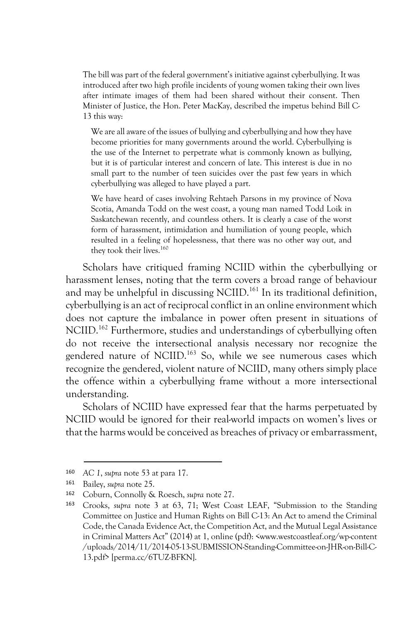The bill was part of the federal government's initiative against cyberbullying. It was introduced after two high profile incidents of young women taking their own lives after intimate images of them had been shared without their consent. Then Minister of Justice, the Hon. Peter MacKay, described the impetus behind Bill C-13 this way:

We are all aware of the issues of bullying and cyberbullying and how they have become priorities for many governments around the world. Cyberbullying is the use of the Internet to perpetrate what is commonly known as bullying, but it is of particular interest and concern of late. This interest is due in no small part to the number of teen suicides over the past few years in which cyberbullying was alleged to have played a part.

We have heard of cases involving Rehtaeh Parsons in my province of Nova Scotia, Amanda Todd on the west coast, a young man named Todd Loik in Saskatchewan recently, and countless others. It is clearly a case of the worst form of harassment, intimidation and humiliation of young people, which resulted in a feeling of hopelessness, that there was no other way out, and they took their lives.<sup>160</sup>

Scholars have critiqued framing NCIID within the cyberbullying or harassment lenses, noting that the term covers a broad range of behaviour and may be unhelpful in discussing NCIID.<sup>161</sup> In its traditional definition, cyberbullying is an act of reciprocal conflict in an online environment which does not capture the imbalance in power often present in situations of NCIID.<sup>162</sup> Furthermore, studies and understandings of cyberbullying often do not receive the intersectional analysis necessary nor recognize the gendered nature of NCIID.163 So, while we see numerous cases which recognize the gendered, violent nature of NCIID, many others simply place the offence within a cyberbullying frame without a more intersectional understanding.

Scholars of NCIID have expressed fear that the harms perpetuated by NCIID would be ignored for their real-world impacts on women's lives or that the harms would be conceived as breaches of privacy or embarrassment,

 <sup>160</sup> *AC 1*, *supra* note 53 at para 17.

<sup>161</sup> Bailey, *supra* note 25.

<sup>162</sup> Coburn, Connolly & Roesch, *supra* note 27.

<sup>163</sup> Crooks, *supra* note 3 at 63, 71; West Coast LEAF, "Submission to the Standing Committee on Justice and Human Rights on Bill C-13: An Act to amend the Criminal Code, the Canada Evidence Act, the Competition Act, and the Mutual Legal Assistance in Criminal Matters Act" (2014) at 1, online (pdf): <www.westcoastleaf.org/wp-content /uploads/2014/11/2014-05-13-SUBMISSION-Standing-Committee-on-JHR-on-Bill-C-13.pdf> [perma.cc/6TUZ-BFKN].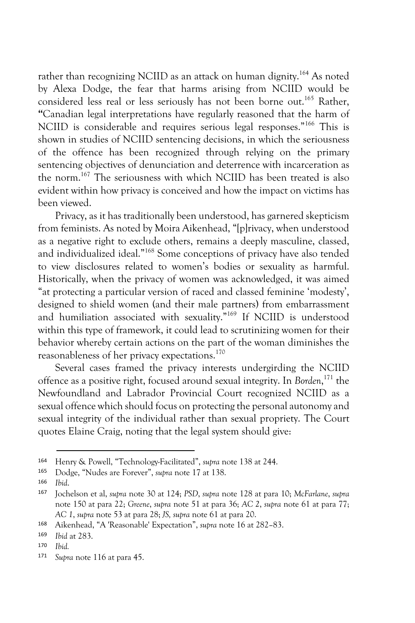rather than recognizing NCIID as an attack on human dignity.<sup>164</sup> As noted by Alexa Dodge, the fear that harms arising from NCIID would be considered less real or less seriously has not been borne out.<sup>165</sup> Rather, **"**Canadian legal interpretations have regularly reasoned that the harm of NCIID is considerable and requires serious legal responses."166 This is shown in studies of NCIID sentencing decisions, in which the seriousness of the offence has been recognized through relying on the primary sentencing objectives of denunciation and deterrence with incarceration as the norm.167 The seriousness with which NCIID has been treated is also evident within how privacy is conceived and how the impact on victims has been viewed.

Privacy, as it has traditionally been understood, has garnered skepticism from feminists. As noted by Moira Aikenhead, "[p]rivacy, when understood as a negative right to exclude others, remains a deeply masculine, classed, and individualized ideal."168 Some conceptions of privacy have also tended to view disclosures related to women's bodies or sexuality as harmful. Historically, when the privacy of women was acknowledged, it was aimed "at protecting a particular version of raced and classed feminine 'modesty', designed to shield women (and their male partners) from embarrassment and humiliation associated with sexuality."169 If NCIID is understood within this type of framework, it could lead to scrutinizing women for their behavior whereby certain actions on the part of the woman diminishes the reasonableness of her privacy expectations.170

Several cases framed the privacy interests undergirding the NCIID offence as a positive right, focused around sexual integrity. In *Borden*, <sup>171</sup> the Newfoundland and Labrador Provincial Court recognized NCIID as a sexual offence which should focus on protecting the personal autonomy and sexual integrity of the individual rather than sexual propriety. The Court quotes Elaine Craig, noting that the legal system should give:

 <sup>164</sup> Henry & Powell, "Technology-Facilitated", *supra* note 138 at 244.

<sup>165</sup> Dodge, "Nudes are Forever", *supra* note 17 at 138.

<sup>166</sup> *Ibid*.

<sup>167</sup> Jochelson et al, *supra* note 30 at 124; *PSD*, *supra* note 128 at para 10; *McFarlane*, *supra* note 150 at para 22; *Greene*, *supra* note 51 at para 36; *AC 2*, *supra* note 61 at para 77; *AC 1*, *supra* note 53 at para 28; *JS, supra* note 61 at para 20.

<sup>168</sup> Aikenhead, "A 'Reasonable' Expectation", *supra* note 16 at 282–83.

<sup>169</sup> *Ibid* at 283.

<sup>170</sup> *Ibid.*

<sup>171</sup> *Supra* note 116 at para 45.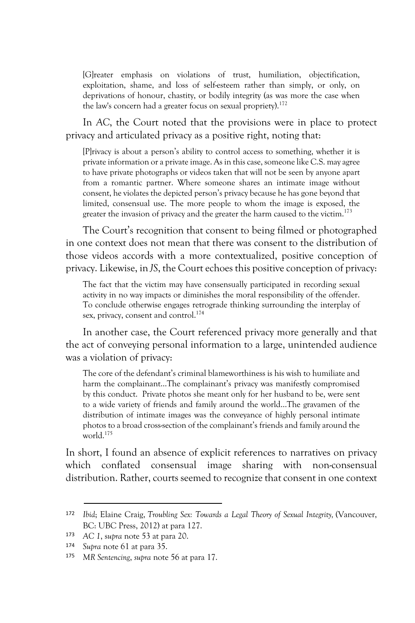[G]reater emphasis on violations of trust, humiliation, objectification, exploitation, shame, and loss of self-esteem rather than simply, or only, on deprivations of honour, chastity, or bodily integrity (as was more the case when the law's concern had a greater focus on sexual propriety).<sup>172</sup>

In *AC*, the Court noted that the provisions were in place to protect privacy and articulated privacy as a positive right, noting that:

[P]rivacy is about a person's ability to control access to something, whether it is private information or a private image. As in this case, someone like C.S. may agree to have private photographs or videos taken that will not be seen by anyone apart from a romantic partner. Where someone shares an intimate image without consent, he violates the depicted person's privacy because he has gone beyond that limited, consensual use. The more people to whom the image is exposed, the greater the invasion of privacy and the greater the harm caused to the victim.<sup>173</sup>

The Court's recognition that consent to being filmed or photographed in one context does not mean that there was consent to the distribution of those videos accords with a more contextualized, positive conception of privacy. Likewise, in *JS*, the Court echoes this positive conception of privacy:

The fact that the victim may have consensually participated in recording sexual activity in no way impacts or diminishes the moral responsibility of the offender. To conclude otherwise engages retrograde thinking surrounding the interplay of sex, privacy, consent and control.<sup>174</sup>

In another case, the Court referenced privacy more generally and that the act of conveying personal information to a large, unintended audience was a violation of privacy:

The core of the defendant's criminal blameworthiness is his wish to humiliate and harm the complainant…The complainant's privacy was manifestly compromised by this conduct. Private photos she meant only for her husband to be, were sent to a wide variety of friends and family around the world…The gravamen of the distribution of intimate images was the conveyance of highly personal intimate photos to a broad cross-section of the complainant's friends and family around the world.175

In short, I found an absence of explicit references to narratives on privacy which conflated consensual image sharing with non-consensual distribution. Rather, courts seemed to recognize that consent in one context

 <sup>172</sup> *Ibid*; Elaine Craig, *Troubling Sex: Towards a Legal Theory of Sexual Integrity,* (Vancouver, BC: UBC Press, 2012) at para 127.

<sup>173</sup> *AC 1*, s*upra* note 53 at para 20.

Supra note 61 at para 35.

<sup>175</sup> *MR Sentencing*, *supra* note 56 at para 17.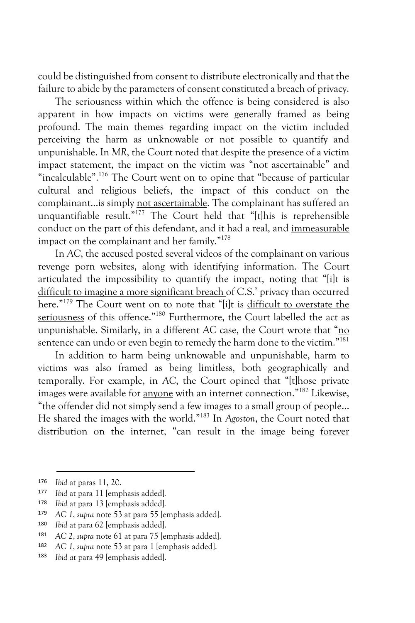could be distinguished from consent to distribute electronically and that the failure to abide by the parameters of consent constituted a breach of privacy.

The seriousness within which the offence is being considered is also apparent in how impacts on victims were generally framed as being profound. The main themes regarding impact on the victim included perceiving the harm as unknowable or not possible to quantify and unpunishable. In *MR*, the Court noted that despite the presence of a victim impact statement, the impact on the victim was "not ascertainable" and "incalculable".176 The Court went on to opine that "because of particular cultural and religious beliefs, the impact of this conduct on the complainant…is simply not ascertainable. The complainant has suffered an unquantifiable result." <sup>177</sup> The Court held that "[t]his is reprehensible conduct on the part of this defendant, and it had a real, and immeasurable impact on the complainant and her family." 178

In *AC*, the accused posted several videos of the complainant on various revenge porn websites, along with identifying information. The Court articulated the impossibility to quantify the impact, noting that "[i]t is difficult to imagine a more significant breach of C.S.' privacy than occurred here."<sup>179</sup> The Court went on to note that "[i]t is difficult to overstate the seriousness of this offence."<sup>180</sup> Furthermore, the Court labelled the act as unpunishable. Similarly, in a different *AC* case, the Court wrote that "no sentence can undo or even begin to remedy the harm done to the victim."<sup>181</sup>

In addition to harm being unknowable and unpunishable, harm to victims was also framed as being limitless, both geographically and temporally. For example, in *AC*, the Court opined that "[t]hose private images were available for anyone with an internet connection."182 Likewise, "the offender did not simply send a few images to a small group of people... He shared the images with the world."183 In *Agoston*, the Court noted that distribution on the internet, "can result in the image being forever

 <sup>176</sup> *Ibid* at paras 11, 20.

<sup>177</sup> *Ibid* at para 11 [emphasis added]*.*

<sup>178</sup> *Ibid* at para 13 [emphasis added]*.*

<sup>179</sup> *AC 1*, *supra* note 53 at para 55 [emphasis added].

<sup>180</sup> *Ibid* at para 62 [emphasis added].

<sup>181</sup> *AC 2*, *supra* note 61 at para 75 [emphasis added].

<sup>182</sup> *AC 1*, *supra* note 53 at para 1 [emphasis added].

<sup>183</sup> *Ibid at* para 49 [emphasis added].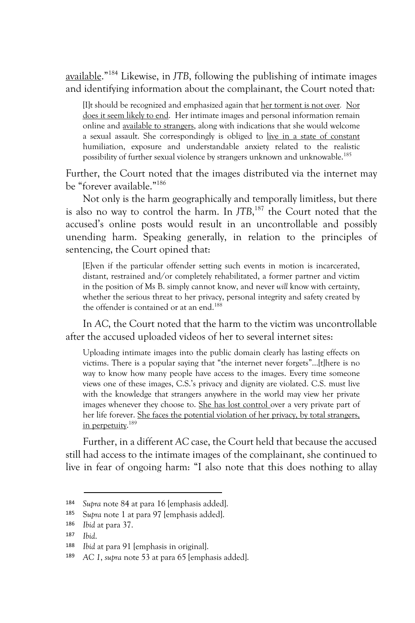available."184 Likewise, in *JTB*, following the publishing of intimate images and identifying information about the complainant, the Court noted that:

[I]t should be recognized and emphasized again that her torment is not over*.* Nor does it seem likely to end. Her intimate images and personal information remain online and available to strangers, along with indications that she would welcome a sexual assault. She correspondingly is obliged to live in a state of constant humiliation, exposure and understandable anxiety related to the realistic possibility of further sexual violence by strangers unknown and unknowable.185

Further, the Court noted that the images distributed via the internet may be "forever available."<sup>186</sup>

Not only is the harm geographically and temporally limitless, but there is also no way to control the harm. In *JTB*, <sup>187</sup> the Court noted that the accused's online posts would result in an uncontrollable and possibly unending harm. Speaking generally, in relation to the principles of sentencing, the Court opined that:

[E]ven if the particular offender setting such events in motion is incarcerated, distant, restrained and/or completely rehabilitated, a former partner and victim in the position of Ms B. simply cannot know, and never *will* know with certainty, whether the serious threat to her privacy, personal integrity and safety created by the offender is contained or at an end.<sup>188</sup>

In *AC*, the Court noted that the harm to the victim was uncontrollable after the accused uploaded videos of her to several internet sites:

Uploading intimate images into the public domain clearly has lasting effects on victims. There is a popular saying that "the internet never forgets"…[t]here is no way to know how many people have access to the images. Every time someone views one of these images, C.S.'s privacy and dignity are violated. C.S. must live with the knowledge that strangers anywhere in the world may view her private images whenever they choose to. She has lost control over a very private part of her life forever. She faces the potential violation of her privacy, by total strangers, in perpetuity.<sup>189</sup>

Further, in a different *AC* case, the Court held that because the accused still had access to the intimate images of the complainant, she continued to live in fear of ongoing harm: "I also note that this does nothing to allay

 <sup>184</sup> *Supra* note 84 at para 16 [emphasis added].

<sup>185</sup> S*upra* note 1 at para 97 [emphasis added].

<sup>186</sup> *Ibid* at para 37.

<sup>187</sup> *Ibid*.

<sup>188</sup> *Ibid* at para 91 [emphasis in original].

<sup>189</sup> *AC 1*, *supra* note 53 at para 65 [emphasis added].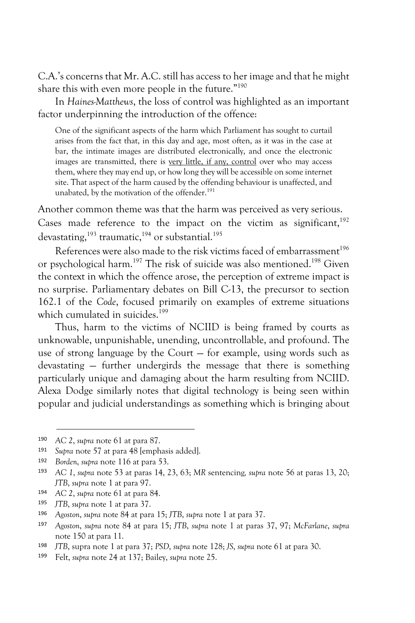C.A.'s concerns that Mr. A.C. still has access to her image and that he might share this with even more people in the future."190

In *Haines-Matthews*, the loss of control was highlighted as an important factor underpinning the introduction of the offence:

One of the significant aspects of the harm which Parliament has sought to curtail arises from the fact that, in this day and age, most often, as it was in the case at bar, the intimate images are distributed electronically, and once the electronic images are transmitted, there is very little, if any, control over who may access them, where they may end up, or how long they will be accessible on some internet site. That aspect of the harm caused by the offending behaviour is unaffected, and unabated, by the motivation of the offender.<sup>191</sup>

Another common theme was that the harm was perceived as very serious. Cases made reference to the impact on the victim as significant, $192$ devastating, $^{193}$  traumatic, $^{194}$  or substantial. $^{195}$ 

References were also made to the risk victims faced of embarrassment<sup>196</sup> or psychological harm.197 The risk of suicide was also mentioned.198 Given the context in which the offence arose, the perception of extreme impact is no surprise. Parliamentary debates on Bill C-13, the precursor to section 162.1 of the *Code*, focused primarily on examples of extreme situations which cumulated in suicides.<sup>199</sup>

Thus, harm to the victims of NCIID is being framed by courts as unknowable, unpunishable, unending, uncontrollable, and profound. The use of strong language by the Court — for example, using words such as devastating — further undergirds the message that there is something particularly unique and damaging about the harm resulting from NCIID. Alexa Dodge similarly notes that digital technology is being seen within popular and judicial understandings as something which is bringing about

 <sup>190</sup> *AC <sup>2</sup>*, *supra* note 61 at para 87.

<sup>191</sup> *Supra* note 57 at para 48 [emphasis added].

<sup>192</sup> *Borden*, *supra* note 116 at para 53.

<sup>193</sup> *AC 1*, *supra* note 53 at paras 14, 23, 63; *MR* sentencing*, supra* note 56 at paras 13, 20; *JTB*, *supra* note 1 at para 97.

<sup>194</sup> *AC 2*, *supra* note 61 at para 84.

<sup>195</sup> *JTB*, *supra* note 1 at para 37.

<sup>196</sup> *Agoston*, *supra* note 84 at para 15; *JTB*, *supra* note 1 at para 37.

<sup>197</sup> *Agoston*, *supra* note 84 at para 15; *JTB*, *supra* note 1 at paras 37, 97; *McFarlane*, *supra* note 150 at para 11.

<sup>198</sup> *JTB*, supra note 1 at para 37; *PSD*, *supra* note 128; *JS*, *supra* note 61 at para 30.

<sup>199</sup> Felt, *supra* note 24 at 137; Bailey, *supra* note 25.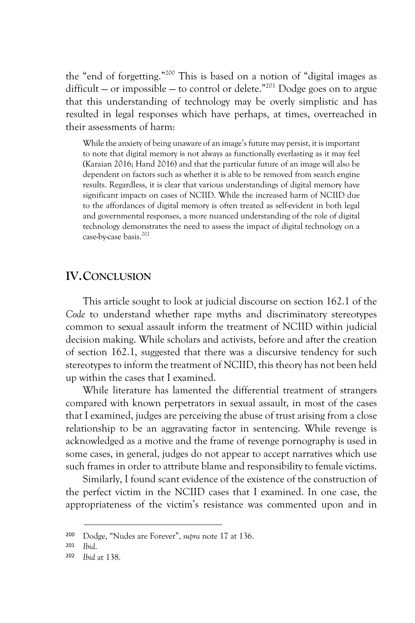the "end of forgetting."200 This is based on a notion of "digital images as difficult – or impossible – to control or delete."<sup>201</sup> Dodge goes on to argue that this understanding of technology may be overly simplistic and has resulted in legal responses which have perhaps, at times, overreached in their assessments of harm:

While the anxiety of being unaware of an image's future may persist, it is important to note that digital memory is not always as functionally everlasting as it may feel (Karaian 2016; Hand 2016) and that the particular future of an image will also be dependent on factors such as whether it is able to be removed from search engine results. Regardless, it is clear that various understandings of digital memory have significant impacts on cases of NCIID. While the increased harm of NCIID due to the affordances of digital memory is often treated as self-evident in both legal and governmental responses, a more nuanced understanding of the role of digital technology demonstrates the need to assess the impact of digital technology on a case-by-case basis.202

#### **IV.CONCLUSION**

This article sought to look at judicial discourse on section 162.1 of the *Code* to understand whether rape myths and discriminatory stereotypes common to sexual assault inform the treatment of NCIID within judicial decision making. While scholars and activists, before and after the creation of section 162.1, suggested that there was a discursive tendency for such stereotypes to inform the treatment of NCIID, this theory has not been held up within the cases that I examined.

While literature has lamented the differential treatment of strangers compared with known perpetrators in sexual assault, in most of the cases that I examined, judges are perceiving the abuse of trust arising from a close relationship to be an aggravating factor in sentencing. While revenge is acknowledged as a motive and the frame of revenge pornography is used in some cases, in general, judges do not appear to accept narratives which use such frames in order to attribute blame and responsibility to female victims.

Similarly, I found scant evidence of the existence of the construction of the perfect victim in the NCIID cases that I examined. In one case, the appropriateness of the victim's resistance was commented upon and in

 <sup>200</sup> Dodge, "Nudes are Forever", *supra* note 17 at 136.

<sup>201</sup> *Ibid*.

<sup>202</sup> *Ibid* at 138.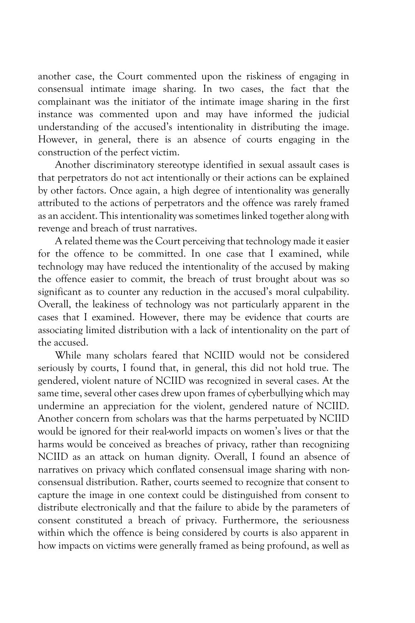another case, the Court commented upon the riskiness of engaging in consensual intimate image sharing. In two cases, the fact that the complainant was the initiator of the intimate image sharing in the first instance was commented upon and may have informed the judicial understanding of the accused's intentionality in distributing the image. However, in general, there is an absence of courts engaging in the construction of the perfect victim.

Another discriminatory stereotype identified in sexual assault cases is that perpetrators do not act intentionally or their actions can be explained by other factors. Once again, a high degree of intentionality was generally attributed to the actions of perpetrators and the offence was rarely framed as an accident. This intentionality was sometimes linked together along with revenge and breach of trust narratives.

A related theme was the Court perceiving that technology made it easier for the offence to be committed. In one case that I examined, while technology may have reduced the intentionality of the accused by making the offence easier to commit, the breach of trust brought about was so significant as to counter any reduction in the accused's moral culpability. Overall, the leakiness of technology was not particularly apparent in the cases that I examined. However, there may be evidence that courts are associating limited distribution with a lack of intentionality on the part of the accused.

While many scholars feared that NCIID would not be considered seriously by courts, I found that, in general, this did not hold true. The gendered, violent nature of NCIID was recognized in several cases. At the same time, several other cases drew upon frames of cyberbullying which may undermine an appreciation for the violent, gendered nature of NCIID. Another concern from scholars was that the harms perpetuated by NCIID would be ignored for their real-world impacts on women's lives or that the harms would be conceived as breaches of privacy, rather than recognizing NCIID as an attack on human dignity. Overall, I found an absence of narratives on privacy which conflated consensual image sharing with nonconsensual distribution. Rather, courts seemed to recognize that consent to capture the image in one context could be distinguished from consent to distribute electronically and that the failure to abide by the parameters of consent constituted a breach of privacy. Furthermore, the seriousness within which the offence is being considered by courts is also apparent in how impacts on victims were generally framed as being profound, as well as